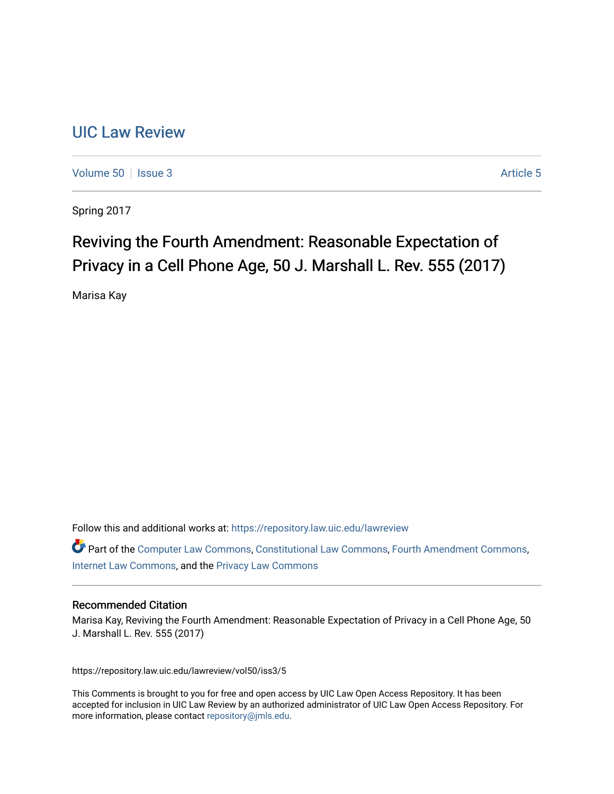## [UIC Law Review](https://repository.law.uic.edu/lawreview)

[Volume 50](https://repository.law.uic.edu/lawreview/vol50) | [Issue 3](https://repository.law.uic.edu/lawreview/vol50/iss3) Article 5

Spring 2017

# Reviving the Fourth Amendment: Reasonable Expectation of Privacy in a Cell Phone Age, 50 J. Marshall L. Rev. 555 (2017)

Marisa Kay

Follow this and additional works at: [https://repository.law.uic.edu/lawreview](https://repository.law.uic.edu/lawreview?utm_source=repository.law.uic.edu%2Flawreview%2Fvol50%2Fiss3%2F5&utm_medium=PDF&utm_campaign=PDFCoverPages) 

Part of the [Computer Law Commons,](http://network.bepress.com/hgg/discipline/837?utm_source=repository.law.uic.edu%2Flawreview%2Fvol50%2Fiss3%2F5&utm_medium=PDF&utm_campaign=PDFCoverPages) [Constitutional Law Commons,](http://network.bepress.com/hgg/discipline/589?utm_source=repository.law.uic.edu%2Flawreview%2Fvol50%2Fiss3%2F5&utm_medium=PDF&utm_campaign=PDFCoverPages) [Fourth Amendment Commons,](http://network.bepress.com/hgg/discipline/1180?utm_source=repository.law.uic.edu%2Flawreview%2Fvol50%2Fiss3%2F5&utm_medium=PDF&utm_campaign=PDFCoverPages) [Internet Law Commons,](http://network.bepress.com/hgg/discipline/892?utm_source=repository.law.uic.edu%2Flawreview%2Fvol50%2Fiss3%2F5&utm_medium=PDF&utm_campaign=PDFCoverPages) and the [Privacy Law Commons](http://network.bepress.com/hgg/discipline/1234?utm_source=repository.law.uic.edu%2Flawreview%2Fvol50%2Fiss3%2F5&utm_medium=PDF&utm_campaign=PDFCoverPages)

## Recommended Citation

Marisa Kay, Reviving the Fourth Amendment: Reasonable Expectation of Privacy in a Cell Phone Age, 50 J. Marshall L. Rev. 555 (2017)

https://repository.law.uic.edu/lawreview/vol50/iss3/5

This Comments is brought to you for free and open access by UIC Law Open Access Repository. It has been accepted for inclusion in UIC Law Review by an authorized administrator of UIC Law Open Access Repository. For more information, please contact [repository@jmls.edu.](mailto:repository@jmls.edu)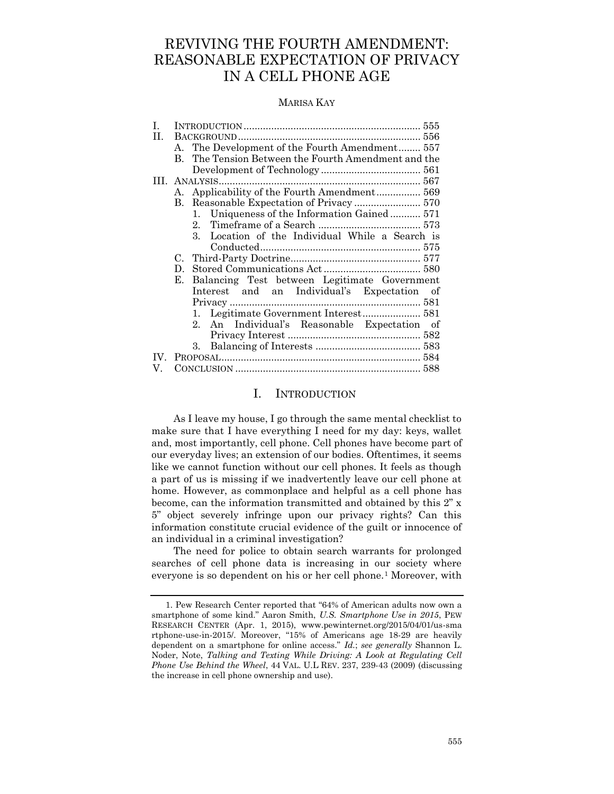## REVIVING THE FOURTH AMENDMENT: REASONABLE EXPECTATION OF PRIVACY IN A CELL PHONE AGE

#### MARISA KAY

| I.  |                                                            |
|-----|------------------------------------------------------------|
| H.  |                                                            |
|     | A. The Development of the Fourth Amendment 557             |
|     | The Tension Between the Fourth Amendment and the<br>B.     |
|     |                                                            |
|     |                                                            |
|     | A. Applicability of the Fourth Amendment 569               |
|     |                                                            |
|     | Uniqueness of the Information Gained 571<br>1.             |
|     |                                                            |
|     | 3. Location of the Individual While a Search is            |
|     |                                                            |
|     | C.                                                         |
|     | D.                                                         |
|     | Balancing Test between Legitimate Government<br>Е.         |
|     | Interest and an Individual's Expectation of                |
|     |                                                            |
|     | 1.                                                         |
|     | An Individual's Reasonable Expectation of<br>$\mathcal{D}$ |
|     |                                                            |
|     | 3.                                                         |
| TV. |                                                            |
| V.  |                                                            |
|     |                                                            |

## I. INTRODUCTION

<span id="page-1-0"></span>As I leave my house, I go through the same mental checklist to make sure that I have everything I need for my day: keys, wallet and, most importantly, cell phone. Cell phones have become part of our everyday lives; an extension of our bodies. Oftentimes, it seems like we cannot function without our cell phones. It feels as though a part of us is missing if we inadvertently leave our cell phone at home. However, as commonplace and helpful as a cell phone has become, can the information transmitted and obtained by this 2" x 5" object severely infringe upon our privacy rights? Can this information constitute crucial evidence of the guilt or innocence of an individual in a criminal investigation?

The need for police to obtain search warrants for prolonged searches of cell phone data is increasing in our society where everyone is so dependent on his or her cell phone.<sup>1</sup> Moreover, with

<sup>1.</sup> Pew Research Center reported that "64% of American adults now own a smartphone of some kind." Aaron Smith, *U.S. Smartphone Use in 2015*, PEW RESEARCH CENTER (Apr. 1, 2015), www.pewinternet.org/2015/04/01/us-sma rtphone-use-in-2015/. Moreover, "15% of Americans age 18-29 are heavily dependent on a smartphone for online access." *Id.*; *see generally* Shannon L. Noder, Note, *Talking and Texting While Driving: A Look at Regulating Cell Phone Use Behind the Wheel*, 44 VAL. U.L REV. 237, 239-43 (2009) (discussing the increase in cell phone ownership and use).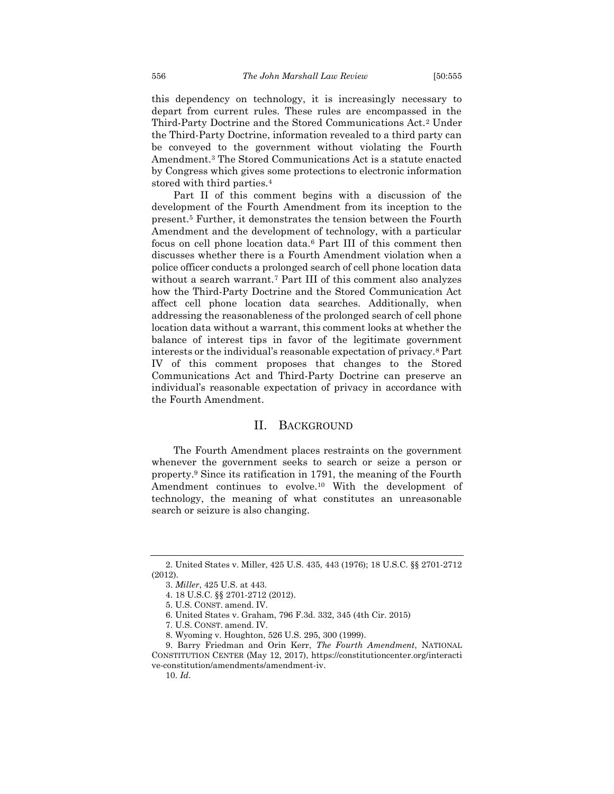this dependency on technology, it is increasingly necessary to depart from current rules. These rules are encompassed in the Third-Party Doctrine and the Stored Communications Act.<sup>2</sup> Under the Third-Party Doctrine, information revealed to a third party can be conveyed to the government without violating the Fourth Amendment.<sup>3</sup> The Stored Communications Act is a statute enacted by Congress which gives some protections to electronic information stored with third parties.<sup>4</sup>

Part II of this comment begins with a discussion of the development of the Fourth Amendment from its inception to the present.<sup>5</sup> Further, it demonstrates the tension between the Fourth Amendment and the development of technology, with a particular focus on cell phone location data.<sup>6</sup> Part III of this comment then discusses whether there is a Fourth Amendment violation when a police officer conducts a prolonged search of cell phone location data without a search warrant.<sup>7</sup> Part III of this comment also analyzes how the Third-Party Doctrine and the Stored Communication Act affect cell phone location data searches. Additionally, when addressing the reasonableness of the prolonged search of cell phone location data without a warrant, this comment looks at whether the balance of interest tips in favor of the legitimate government interests or the individual's reasonable expectation of privacy.<sup>8</sup> Part IV of this comment proposes that changes to the Stored Communications Act and Third-Party Doctrine can preserve an individual's reasonable expectation of privacy in accordance with the Fourth Amendment.

#### II. BACKGROUND

<span id="page-2-0"></span>The Fourth Amendment places restraints on the government whenever the government seeks to search or seize a person or property.<sup>9</sup> Since its ratification in 1791, the meaning of the Fourth Amendment continues to evolve.<sup>10</sup> With the development of technology, the meaning of what constitutes an unreasonable search or seizure is also changing.

<sup>2.</sup> United States v. Miller, 425 U.S. 435, 443 (1976); 18 U.S.C. §§ 2701-2712 (2012).

<sup>3.</sup> *Miller*, 425 U.S. at 443.

<sup>4.</sup> 18 U.S.C. §§ 2701-2712 (2012).

<sup>5.</sup> U.S. CONST. amend. IV.

<sup>6.</sup> United States v. Graham, 796 F.3d. 332, 345 (4th Cir. 2015)

<sup>7.</sup> U.S. CONST. amend. IV.

<sup>8.</sup> Wyoming v. Houghton, 526 U.S. 295, 300 (1999).

<sup>9.</sup> Barry Friedman and Orin Kerr, *The Fourth Amendment*, NATIONAL CONSTITUTION CENTER (May 12, 2017), https://constitutioncenter.org/interacti ve-constitution/amendments/amendment-iv.

<sup>10.</sup> *Id*.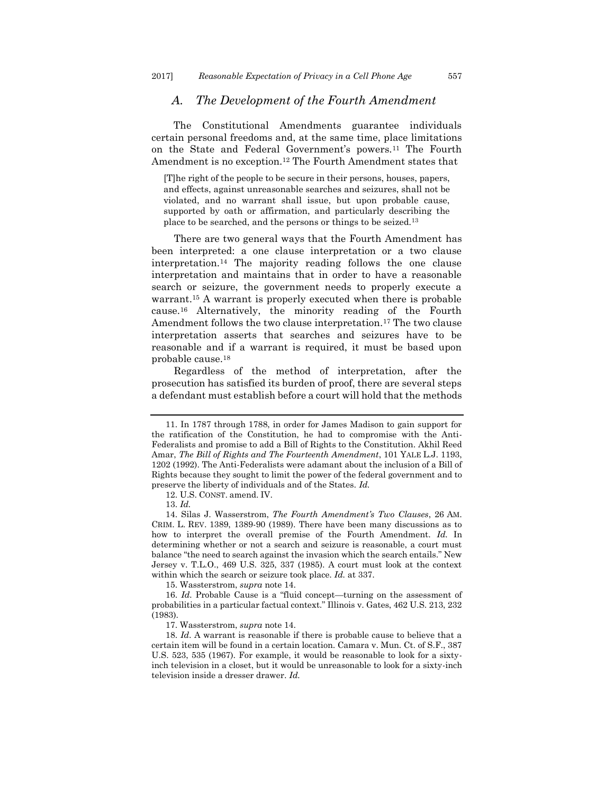## <span id="page-3-0"></span>*A. The Development of the Fourth Amendment*

The Constitutional Amendments guarantee individuals certain personal freedoms and, at the same time, place limitations on the State and Federal Government's powers.<sup>11</sup> The Fourth Amendment is no exception.<sup>12</sup> The Fourth Amendment states that

[T]he right of the people to be secure in their persons, houses, papers, and effects, against unreasonable searches and seizures, shall not be violated, and no warrant shall issue, but upon probable cause, supported by oath or affirmation, and particularly describing the place to be searched, and the persons or things to be seized.<sup>13</sup>

There are two general ways that the Fourth Amendment has been interpreted: a one clause interpretation or a two clause interpretation.<sup>14</sup> The majority reading follows the one clause interpretation and maintains that in order to have a reasonable search or seizure, the government needs to properly execute a warrant.<sup>15</sup> A warrant is properly executed when there is probable cause.<sup>16</sup> Alternatively, the minority reading of the Fourth Amendment follows the two clause interpretation.<sup>17</sup> The two clause interpretation asserts that searches and seizures have to be reasonable and if a warrant is required, it must be based upon probable cause.<sup>18</sup>

Regardless of the method of interpretation, after the prosecution has satisfied its burden of proof, there are several steps a defendant must establish before a court will hold that the methods

12. U.S. CONST. amend. IV.

15. Wassterstrom, *supra* note 14.

<sup>11.</sup> In 1787 through 1788, in order for James Madison to gain support for the ratification of the Constitution, he had to compromise with the Anti-Federalists and promise to add a Bill of Rights to the Constitution. Akhil Reed Amar, *The Bill of Rights and The Fourteenth Amendment*, 101 YALE L.J. 1193, 1202 (1992). The Anti-Federalists were adamant about the inclusion of a Bill of Rights because they sought to limit the power of the federal government and to preserve the liberty of individuals and of the States. *Id.*

<sup>13.</sup> *Id.*

<sup>14.</sup> Silas J. Wasserstrom, *The Fourth Amendment's Two Clauses*, 26 AM. CRIM. L. REV. 1389, 1389-90 (1989). There have been many discussions as to how to interpret the overall premise of the Fourth Amendment. *Id.* In determining whether or not a search and seizure is reasonable, a court must balance "the need to search against the invasion which the search entails." New Jersey v. T.L.O., 469 U.S. 325, 337 (1985). A court must look at the context within which the search or seizure took place. *Id.* at 337.

<sup>16.</sup> *Id.* Probable Cause is a "fluid concept—turning on the assessment of probabilities in a particular factual context." Illinois v. Gates, 462 U.S. 213, 232 (1983).

<sup>17.</sup> Wassterstrom, *supra* note 14.

<sup>18.</sup> *Id*. A warrant is reasonable if there is probable cause to believe that a certain item will be found in a certain location. Camara v. Mun. Ct. of S.F., 387 U.S. 523, 535 (1967). For example, it would be reasonable to look for a sixtyinch television in a closet, but it would be unreasonable to look for a sixty-inch television inside a dresser drawer. *Id.*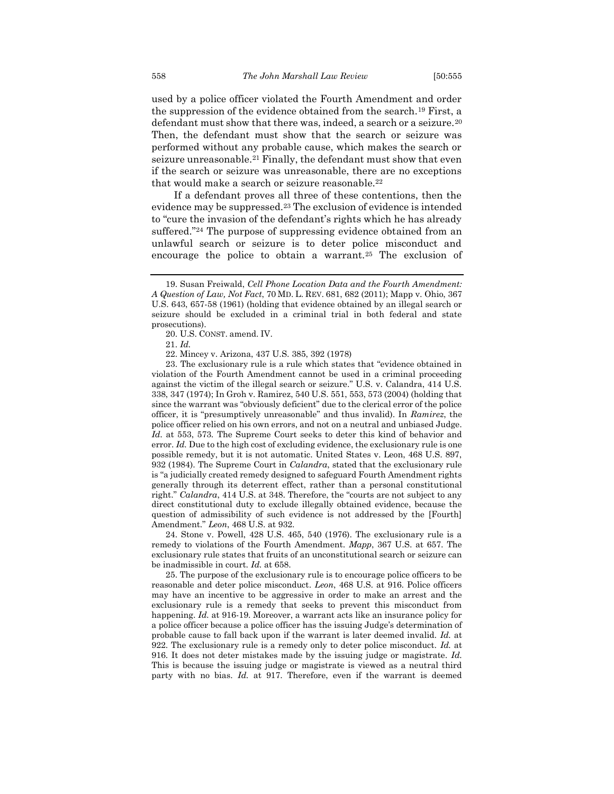used by a police officer violated the Fourth Amendment and order the suppression of the evidence obtained from the search.<sup>19</sup> First, a defendant must show that there was, indeed, a search or a seizure.<sup>20</sup> Then, the defendant must show that the search or seizure was performed without any probable cause, which makes the search or seizure unreasonable.<sup>21</sup> Finally, the defendant must show that even if the search or seizure was unreasonable, there are no exceptions that would make a search or seizure reasonable.<sup>22</sup>

If a defendant proves all three of these contentions, then the evidence may be suppressed.<sup>23</sup> The exclusion of evidence is intended to "cure the invasion of the defendant's rights which he has already suffered."<sup>24</sup> The purpose of suppressing evidence obtained from an unlawful search or seizure is to deter police misconduct and encourage the police to obtain a warrant.<sup>25</sup> The exclusion of

23. The exclusionary rule is a rule which states that "evidence obtained in violation of the Fourth Amendment cannot be used in a criminal proceeding against the victim of the illegal search or seizure." U.S. v. Calandra, 414 U.S. 338, 347 (1974); In Groh v. Ramirez, 540 U.S. 551, 553, 573 (2004) (holding that since the warrant was "obviously deficient" due to the clerical error of the police officer, it is "presumptively unreasonable" and thus invalid). In *Ramirez*, the police officer relied on his own errors, and not on a neutral and unbiased Judge. *Id.* at 553, 573*.* The Supreme Court seeks to deter this kind of behavior and error. *Id.* Due to the high cost of excluding evidence, the exclusionary rule is one possible remedy, but it is not automatic. United States v. Leon, 468 U.S. 897, 932 (1984). The Supreme Court in *Calandra*, stated that the exclusionary rule is "a judicially created remedy designed to safeguard Fourth Amendment rights generally through its deterrent effect, rather than a personal constitutional right." *Calandra*, 414 U.S. at 348. Therefore, the "courts are not subject to any direct constitutional duty to exclude illegally obtained evidence, because the question of admissibility of such evidence is not addressed by the [Fourth] Amendment." *Leon*, 468 U.S. at 932.

24. Stone v. Powell, 428 U.S. 465, 540 (1976). The exclusionary rule is a remedy to violations of the Fourth Amendment. *Mapp*, 367 U.S. at 657. The exclusionary rule states that fruits of an unconstitutional search or seizure can be inadmissible in court. *Id.* at 658.

25. The purpose of the exclusionary rule is to encourage police officers to be reasonable and deter police misconduct. *Leon*, 468 U.S. at 916. Police officers may have an incentive to be aggressive in order to make an arrest and the exclusionary rule is a remedy that seeks to prevent this misconduct from happening. *Id.* at 916-19. Moreover, a warrant acts like an insurance policy for a police officer because a police officer has the issuing Judge's determination of probable cause to fall back upon if the warrant is later deemed invalid. *Id.* at 922. The exclusionary rule is a remedy only to deter police misconduct. *Id.* at 916. It does not deter mistakes made by the issuing judge or magistrate. *Id.* This is because the issuing judge or magistrate is viewed as a neutral third party with no bias. *Id.* at 917. Therefore, even if the warrant is deemed

<sup>19.</sup> Susan Freiwald, *Cell Phone Location Data and the Fourth Amendment: A Question of Law, Not Fact*, 70 MD. L. REV. 681, 682 (2011); Mapp v. Ohio, 367 U.S. 643, 657-58 (1961) (holding that evidence obtained by an illegal search or seizure should be excluded in a criminal trial in both federal and state prosecutions).

<sup>20.</sup> U.S. CONST. amend. IV.

<sup>21.</sup> *Id.*

<sup>22.</sup> Mincey v. Arizona, 437 U.S. 385, 392 (1978)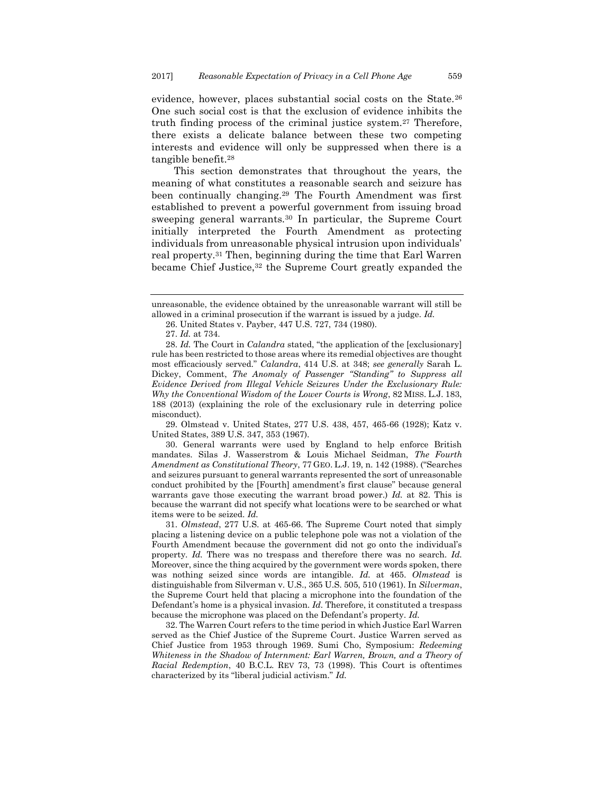evidence, however, places substantial social costs on the State.<sup>26</sup> One such social cost is that the exclusion of evidence inhibits the truth finding process of the criminal justice system.<sup>27</sup> Therefore, there exists a delicate balance between these two competing interests and evidence will only be suppressed when there is a tangible benefit.<sup>28</sup>

This section demonstrates that throughout the years, the meaning of what constitutes a reasonable search and seizure has been continually changing.<sup>29</sup> The Fourth Amendment was first established to prevent a powerful government from issuing broad sweeping general warrants.<sup>30</sup> In particular, the Supreme Court initially interpreted the Fourth Amendment as protecting individuals from unreasonable physical intrusion upon individuals' real property.<sup>31</sup> Then, beginning during the time that Earl Warren became Chief Justice,<sup>32</sup> the Supreme Court greatly expanded the

27. *Id.* at 734.

29. Olmstead v. United States, 277 U.S. 438, 457, 465-66 (1928); Katz v. United States, 389 U.S. 347, 353 (1967).

30. General warrants were used by England to help enforce British mandates. Silas J. Wasserstrom & Louis Michael Seidman, *The Fourth Amendment as Constitutional Theory*, 77 GEO. L.J. 19, n. 142 (1988). ("Searches and seizures pursuant to general warrants represented the sort of unreasonable conduct prohibited by the [Fourth] amendment's first clause" because general warrants gave those executing the warrant broad power.) *Id.* at 82. This is because the warrant did not specify what locations were to be searched or what items were to be seized. *Id.*

31. *Olmstead*, 277 U.S. at 465-66. The Supreme Court noted that simply placing a listening device on a public telephone pole was not a violation of the Fourth Amendment because the government did not go onto the individual's property. *Id.* There was no trespass and therefore there was no search. *Id.* Moreover, since the thing acquired by the government were words spoken, there was nothing seized since words are intangible. *Id.* at 465. *Olmstead* is distinguishable from Silverman v. U.S., 365 U.S. 505, 510 (1961). In *Silverman*, the Supreme Court held that placing a microphone into the foundation of the Defendant's home is a physical invasion. *Id.* Therefore, it constituted a trespass because the microphone was placed on the Defendant's property. *Id.*

32. The Warren Court refers to the time period in which Justice Earl Warren served as the Chief Justice of the Supreme Court. Justice Warren served as Chief Justice from 1953 through 1969. Sumi Cho, Symposium: *Redeeming Whiteness in the Shadow of Internment: Earl Warren, Brown, and a Theory of Racial Redemption*, 40 B.C.L. REV 73, 73 (1998). This Court is oftentimes characterized by its "liberal judicial activism." *Id.*

unreasonable, the evidence obtained by the unreasonable warrant will still be allowed in a criminal prosecution if the warrant is issued by a judge. *Id.*

<sup>26.</sup> United States v. Payber, 447 U.S. 727, 734 (1980).

<sup>28.</sup> *Id.* The Court in *Calandra* stated, "the application of the [exclusionary] rule has been restricted to those areas where its remedial objectives are thought most efficaciously served." *Calandra*, 414 U.S. at 348; *see generally* Sarah L. Dickey, Comment, *The Anomaly of Passenger "Standing" to Suppress all Evidence Derived from Illegal Vehicle Seizures Under the Exclusionary Rule: Why the Conventional Wisdom of the Lower Courts is Wrong*, 82 MISS. L.J. 183, 188 (2013) (explaining the role of the exclusionary rule in deterring police misconduct).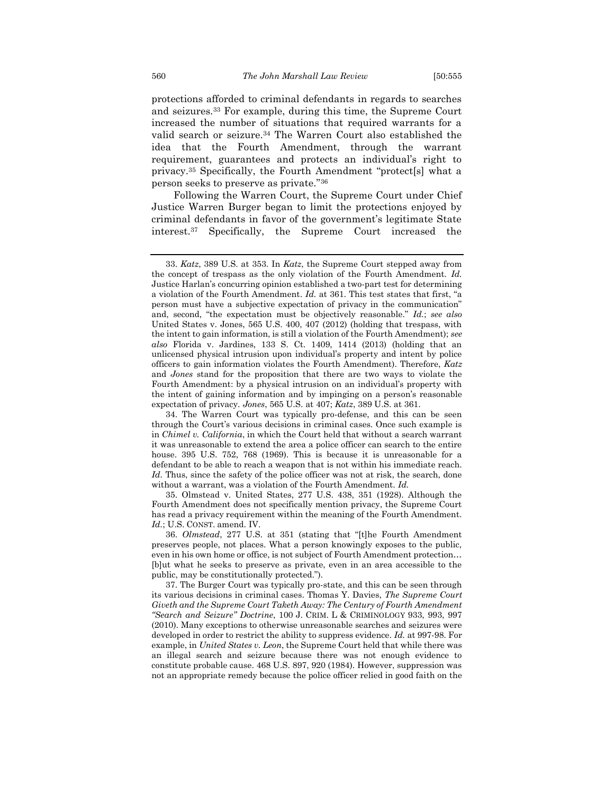protections afforded to criminal defendants in regards to searches and seizures.<sup>33</sup> For example, during this time, the Supreme Court increased the number of situations that required warrants for a valid search or seizure.<sup>34</sup> The Warren Court also established the idea that the Fourth Amendment, through the warrant requirement, guarantees and protects an individual's right to privacy.<sup>35</sup> Specifically, the Fourth Amendment "protect[s] what a person seeks to preserve as private."<sup>36</sup>

Following the Warren Court, the Supreme Court under Chief Justice Warren Burger began to limit the protections enjoyed by criminal defendants in favor of the government's legitimate State interest.<sup>37</sup> Specifically, the Supreme Court increased the

35. Olmstead v. United States, 277 U.S. 438, 351 (1928). Although the Fourth Amendment does not specifically mention privacy, the Supreme Court has read a privacy requirement within the meaning of the Fourth Amendment. *Id.*; U.S. CONST. amend. IV.

36. *Olmstead*, 277 U.S. at 351 (stating that "[t]he Fourth Amendment preserves people, not places. What a person knowingly exposes to the public, even in his own home or office, is not subject of Fourth Amendment protection… [b]ut what he seeks to preserve as private, even in an area accessible to the public, may be constitutionally protected.").

37. The Burger Court was typically pro-state, and this can be seen through its various decisions in criminal cases. Thomas Y. Davies, *The Supreme Court Giveth and the Supreme Court Taketh Away: The Century of Fourth Amendment "Search and Seizure" Doctrine*, 100 J. CRIM. L & CRIMINOLOGY 933, 993, 997 (2010). Many exceptions to otherwise unreasonable searches and seizures were developed in order to restrict the ability to suppress evidence*. Id.* at 997-98. For example, in *United States v. Leon*, the Supreme Court held that while there was an illegal search and seizure because there was not enough evidence to constitute probable cause. 468 U.S. 897, 920 (1984). However, suppression was not an appropriate remedy because the police officer relied in good faith on the

<sup>33.</sup> *Katz*, 389 U.S. at 353. In *Katz*, the Supreme Court stepped away from the concept of trespass as the only violation of the Fourth Amendment. *Id.* Justice Harlan's concurring opinion established a two-part test for determining a violation of the Fourth Amendment. *Id.* at 361. This test states that first, "a person must have a subjective expectation of privacy in the communication" and, second, "the expectation must be objectively reasonable." *Id.*; *see also*  United States v. Jones, 565 U.S. 400, 407 (2012) (holding that trespass, with the intent to gain information, is still a violation of the Fourth Amendment); *see also* Florida v. Jardines, 133 S. Ct. 1409, 1414 (2013) (holding that an unlicensed physical intrusion upon individual's property and intent by police officers to gain information violates the Fourth Amendment). Therefore, *Katz* and *Jones* stand for the proposition that there are two ways to violate the Fourth Amendment: by a physical intrusion on an individual's property with the intent of gaining information and by impinging on a person's reasonable expectation of privacy. *Jones*, 565 U.S. at 407; *Katz*, 389 U.S. at 361.

<sup>34.</sup> The Warren Court was typically pro-defense, and this can be seen through the Court's various decisions in criminal cases. Once such example is in *Chimel v. California*, in which the Court held that without a search warrant it was unreasonable to extend the area a police officer can search to the entire house. 395 U.S. 752, 768 (1969). This is because it is unreasonable for a defendant to be able to reach a weapon that is not within his immediate reach. *Id.* Thus, since the safety of the police officer was not at risk, the search, done without a warrant, was a violation of the Fourth Amendment. *Id.*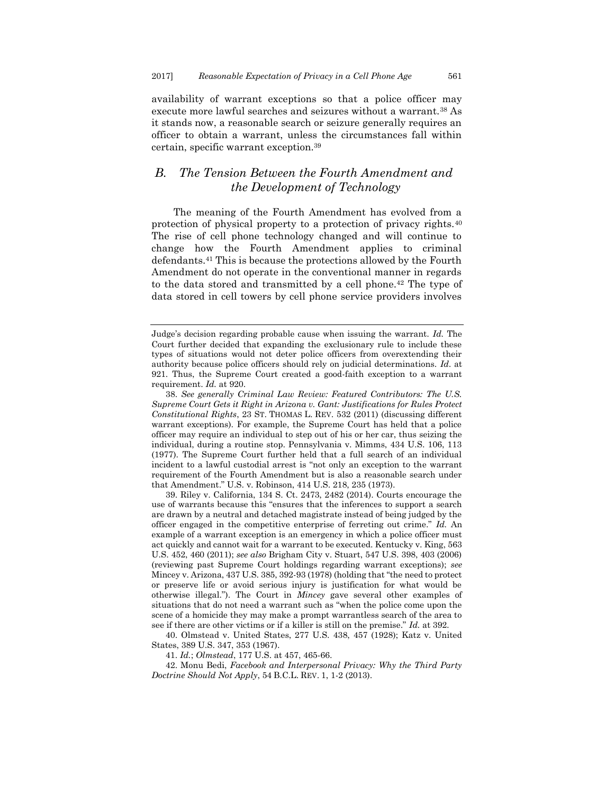availability of warrant exceptions so that a police officer may execute more lawful searches and seizures without a warrant.<sup>38</sup> As it stands now, a reasonable search or seizure generally requires an officer to obtain a warrant, unless the circumstances fall within certain, specific warrant exception.<sup>39</sup>

## <span id="page-7-0"></span>*B. The Tension Between the Fourth Amendment and the Development of Technology*

The meaning of the Fourth Amendment has evolved from a protection of physical property to a protection of privacy rights.<sup>40</sup> The rise of cell phone technology changed and will continue to change how the Fourth Amendment applies to criminal defendants.<sup>41</sup> This is because the protections allowed by the Fourth Amendment do not operate in the conventional manner in regards to the data stored and transmitted by a cell phone.<sup>42</sup> The type of data stored in cell towers by cell phone service providers involves

39. Riley v. California, 134 S. Ct. 2473, 2482 (2014). Courts encourage the use of warrants because this "ensures that the inferences to support a search are drawn by a neutral and detached magistrate instead of being judged by the officer engaged in the competitive enterprise of ferreting out crime." *Id.* An example of a warrant exception is an emergency in which a police officer must act quickly and cannot wait for a warrant to be executed. Kentucky v. King, 563 U.S. 452, 460 (2011); *see also* Brigham City v. Stuart, 547 U.S. 398, 403 (2006) (reviewing past Supreme Court holdings regarding warrant exceptions); *see* Mincey v. Arizona, 437 U.S. 385, 392-93 (1978) (holding that "the need to protect or preserve life or avoid serious injury is justification for what would be otherwise illegal."). The Court in *Mincey* gave several other examples of situations that do not need a warrant such as "when the police come upon the scene of a homicide they may make a prompt warrantless search of the area to see if there are other victims or if a killer is still on the premise." *Id.* at 392.

40. Olmstead v. United States, 277 U.S. 438, 457 (1928); Katz v. United States, 389 U.S. 347, 353 (1967).

41. *Id.*; *Olmstead*, 177 U.S. at 457, 465-66.

42. Monu Bedi, *Facebook and Interpersonal Privacy: Why the Third Party Doctrine Should Not Apply*, 54 B.C.L. REV. 1, 1-2 (2013).

Judge's decision regarding probable cause when issuing the warrant. *Id.* The Court further decided that expanding the exclusionary rule to include these types of situations would not deter police officers from overextending their authority because police officers should rely on judicial determinations. *Id*. at 921. Thus, the Supreme Court created a good-faith exception to a warrant requirement. *Id.* at 920.

<sup>38.</sup> *See generally Criminal Law Review: Featured Contributors: The U.S. Supreme Court Gets it Right in Arizona v. Gant: Justifications for Rules Protect Constitutional Rights*, 23 ST. THOMAS L. REV. 532 (2011) (discussing different warrant exceptions). For example, the Supreme Court has held that a police officer may require an individual to step out of his or her car, thus seizing the individual, during a routine stop. Pennsylvania v. Mimms, 434 U.S. 106, 113 (1977). The Supreme Court further held that a full search of an individual incident to a lawful custodial arrest is "not only an exception to the warrant requirement of the Fourth Amendment but is also a reasonable search under that Amendment." U.S. v. Robinson, 414 U.S. 218, 235 (1973).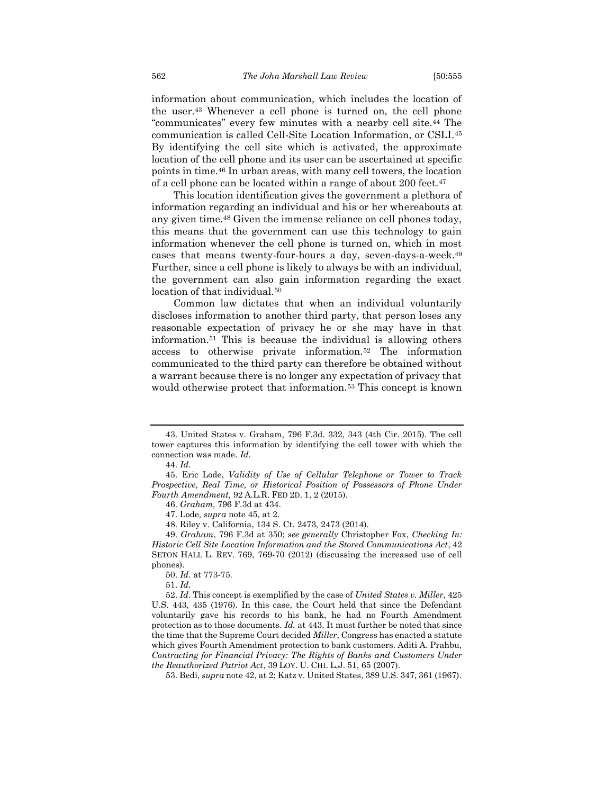information about communication, which includes the location of the user.<sup>43</sup> Whenever a cell phone is turned on, the cell phone "communicates" every few minutes with a nearby cell site.<sup>44</sup> The communication is called Cell-Site Location Information, or CSLI.<sup>45</sup> By identifying the cell site which is activated, the approximate location of the cell phone and its user can be ascertained at specific points in time.<sup>46</sup> In urban areas, with many cell towers, the location of a cell phone can be located within a range of about 200 feet.<sup>47</sup>

This location identification gives the government a plethora of information regarding an individual and his or her whereabouts at any given time.<sup>48</sup> Given the immense reliance on cell phones today, this means that the government can use this technology to gain information whenever the cell phone is turned on, which in most cases that means twenty-four-hours a day, seven-days-a-week.<sup>49</sup> Further, since a cell phone is likely to always be with an individual, the government can also gain information regarding the exact location of that individual.<sup>50</sup>

Common law dictates that when an individual voluntarily discloses information to another third party, that person loses any reasonable expectation of privacy he or she may have in that information.<sup>51</sup> This is because the individual is allowing others access to otherwise private information.<sup>52</sup> The information communicated to the third party can therefore be obtained without a warrant because there is no longer any expectation of privacy that would otherwise protect that information.<sup>53</sup> This concept is known

52. *Id*. This concept is exemplified by the case of *United States v. Miller*, 425 U.S. 443, 435 (1976). In this case, the Court held that since the Defendant voluntarily gave his records to his bank, he had no Fourth Amendment protection as to those documents. *Id.* at 443. It must further be noted that since the time that the Supreme Court decided *Miller*, Congress has enacted a statute which gives Fourth Amendment protection to bank customers. Aditi A. Prahbu, *Contracting for Financial Privacy: The Rights of Banks and Customers Under the Reauthorized Patriot Act*, 39 LOY. U. CHI. L.J. 51, 65 (2007).

53. Bedi, *supra* note 42, at 2; Katz v. United States, 389 U.S. 347, 361 (1967).

<sup>43.</sup> United States v. Graham, 796 F.3d. 332, 343 (4th Cir. 2015). The cell tower captures this information by identifying the cell tower with which the connection was made. *Id*.

<sup>44.</sup> *Id*.

<sup>45.</sup> Eric Lode, *Validity of Use of Cellular Telephone or Tower to Track Prospective, Real Time, or Historical Position of Possessors of Phone Under Fourth Amendment*, 92 A.L.R. FED 2D. 1, 2 (2015).

<sup>46.</sup> *Graham*, 796 F.3d at 434.

<sup>47.</sup> Lode, *supra* note 45, at 2.

<sup>48.</sup> Riley v. California, 134 S. Ct. 2473, 2473 (2014).

<sup>49.</sup> *Graham*, 796 F.3d at 350; *see generally* Christopher Fox, *Checking In: Historic Cell Site Location Information and the Stored Communications Act*, 42 SETON HALL L. REV. 769, 769-70 (2012) (discussing the increased use of cell phones).

<sup>50.</sup> *Id*. at 773-75.

<sup>51.</sup> *Id*.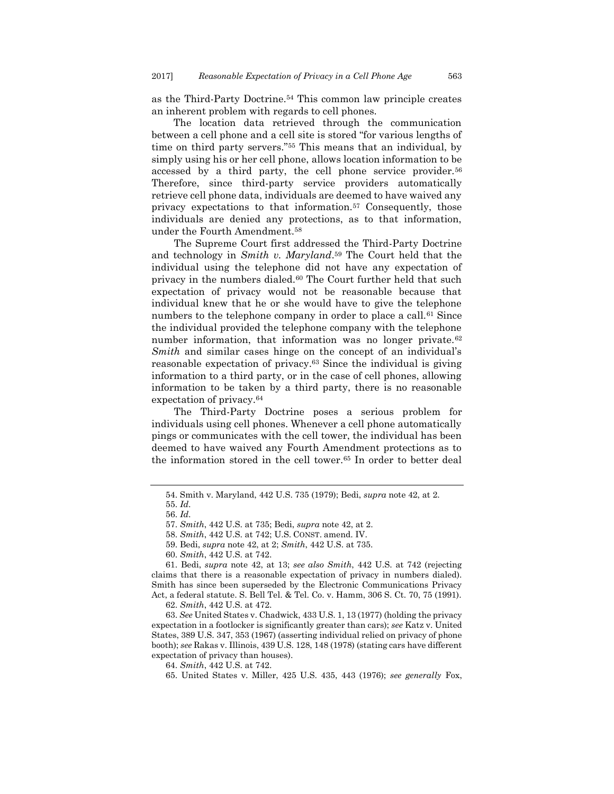as the Third-Party Doctrine.<sup>54</sup> This common law principle creates an inherent problem with regards to cell phones.

The location data retrieved through the communication between a cell phone and a cell site is stored "for various lengths of time on third party servers."<sup>55</sup> This means that an individual, by simply using his or her cell phone, allows location information to be accessed by a third party, the cell phone service provider.<sup>56</sup> Therefore, since third-party service providers automatically retrieve cell phone data, individuals are deemed to have waived any privacy expectations to that information.<sup>57</sup> Consequently, those individuals are denied any protections, as to that information, under the Fourth Amendment.<sup>58</sup>

The Supreme Court first addressed the Third-Party Doctrine and technology in *Smith v. Maryland*. <sup>59</sup> The Court held that the individual using the telephone did not have any expectation of privacy in the numbers dialed.<sup>60</sup> The Court further held that such expectation of privacy would not be reasonable because that individual knew that he or she would have to give the telephone numbers to the telephone company in order to place a call.<sup>61</sup> Since the individual provided the telephone company with the telephone number information, that information was no longer private.<sup>62</sup> *Smith* and similar cases hinge on the concept of an individual's reasonable expectation of privacy.<sup>63</sup> Since the individual is giving information to a third party, or in the case of cell phones, allowing information to be taken by a third party, there is no reasonable expectation of privacy.<sup>64</sup>

The Third-Party Doctrine poses a serious problem for individuals using cell phones. Whenever a cell phone automatically pings or communicates with the cell tower, the individual has been deemed to have waived any Fourth Amendment protections as to the information stored in the cell tower.<sup>65</sup> In order to better deal

<sup>54.</sup> Smith v. Maryland, 442 U.S. 735 (1979); Bedi, *supra* note 42, at 2.

<sup>55.</sup> *Id*.

<sup>56.</sup> *Id*.

<sup>57.</sup> *Smith*, 442 U.S. at 735; Bedi, *supra* note 42, at 2.

<sup>58.</sup> *Smith*, 442 U.S. at 742; U.S. CONST. amend. IV.

<sup>59.</sup> Bedi, *supra* note 42, at 2; *Smith*, 442 U.S. at 735.

<sup>60.</sup> *Smith*, 442 U.S. at 742.

<sup>61.</sup> Bedi, *supra* note 42, at 13; *see also Smith*, 442 U.S. at 742 (rejecting claims that there is a reasonable expectation of privacy in numbers dialed). Smith has since been superseded by the Electronic Communications Privacy Act, a federal statute. S. Bell Tel. & Tel. Co. v. Hamm, 306 S. Ct. 70, 75 (1991).

<sup>62.</sup> *Smith*, 442 U.S. at 472.

<sup>63.</sup> *See* United States v. Chadwick, 433 U.S. 1, 13 (1977) (holding the privacy expectation in a footlocker is significantly greater than cars); *see* Katz v. United States, 389 U.S. 347, 353 (1967) (asserting individual relied on privacy of phone booth); *see* Rakas v. Illinois, 439 U.S. 128, 148 (1978) (stating cars have different expectation of privacy than houses).

<sup>64.</sup> *Smith*, 442 U.S. at 742.

<sup>65.</sup> United States v. Miller, 425 U.S. 435, 443 (1976); *see generally* Fox,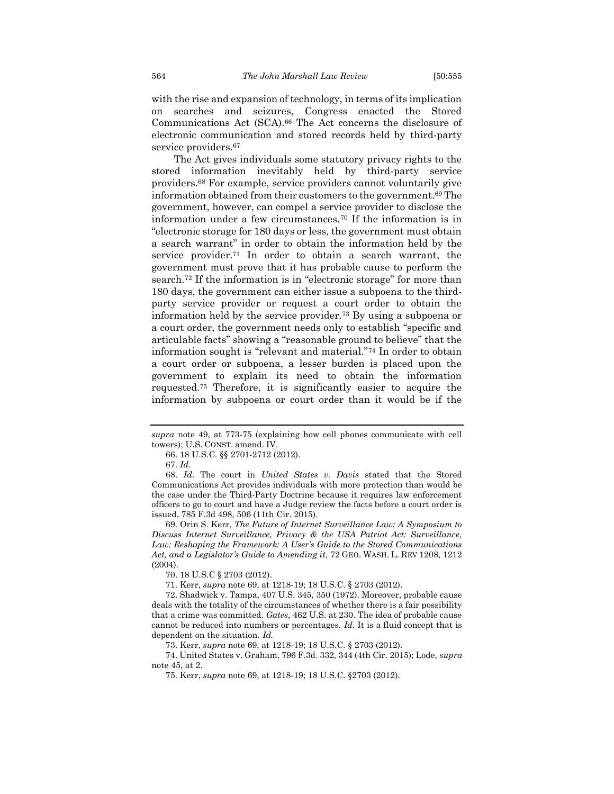with the rise and expansion of technology, in terms of its implication on searches and seizures, Congress enacted the Stored Communications Act (SCA).<sup>66</sup> The Act concerns the disclosure of electronic communication and stored records held by third-party service providers.<sup>67</sup>

The Act gives individuals some statutory privacy rights to the stored information inevitably held by third-party service providers.<sup>68</sup> For example, service providers cannot voluntarily give information obtained from their customers to the government.<sup>69</sup> The government, however, can compel a service provider to disclose the information under a few circumstances.<sup>70</sup> If the information is in "electronic storage for 180 days or less, the government must obtain a search warrant" in order to obtain the information held by the service provider.<sup>71</sup> In order to obtain a search warrant, the government must prove that it has probable cause to perform the search.<sup>72</sup> If the information is in "electronic storage" for more than 180 days, the government can either issue a subpoena to the thirdparty service provider or request a court order to obtain the information held by the service provider.<sup>73</sup> By using a subpoena or a court order, the government needs only to establish "specific and articulable facts" showing a "reasonable ground to believe" that the information sought is "relevant and material."<sup>74</sup> In order to obtain a court order or subpoena, a lesser burden is placed upon the government to explain its need to obtain the information requested.<sup>75</sup> Therefore, it is significantly easier to acquire the information by subpoena or court order than it would be if the

69. Orin S. Kerr, *The Future of Internet Surveillance Law: A Symposium to Discuss Internet Surveillance, Privacy & the USA Patriot Act: Surveillance, Law: Reshaping the Framework: A User's Guide to the Stored Communications Act, and a Legislator's Guide to Amending it*, 72 GEO. WASH. L. REV 1208, 1212 (2004).

70. 18 U.S.C § 2703 (2012).

71. Kerr, *supra* note 69, at 1218-19; 18 U.S.C. § 2703 (2012).

72. Shadwick v. Tampa, 407 U.S. 345, 350 (1972). Moreover, probable cause deals with the totality of the circumstances of whether there is a fair possibility that a crime was committed. *Gates*, 462 U.S. at 230. The idea of probable cause cannot be reduced into numbers or percentages. *Id.* It is a fluid concept that is dependent on the situation. *Id.*

73. Kerr, *supra* note 69, at 1218-19; 18 U.S.C. § 2703 (2012).

74. United States v. Graham, 796 F.3d. 332, 344 (4th Cir. 2015); Lode, *supra* note  $45$ , at  $2$ .

75. Kerr, *supra* note 69, at 1218-19; 18 U.S.C. §2703 (2012).

*supra* note 49, at 773-75 (explaining how cell phones communicate with cell towers); U.S. CONST. amend. IV.

<sup>66.</sup> 18 U.S.C. §§ 2701-2712 (2012).

<sup>67.</sup> *Id*.

<sup>68.</sup> *Id*. The court in *United States v. Davis* stated that the Stored Communications Act provides individuals with more protection than would be the case under the Third-Party Doctrine because it requires law enforcement officers to go to court and have a Judge review the facts before a court order is issued. 785 F.3d 498, 506 (11th Cir. 2015).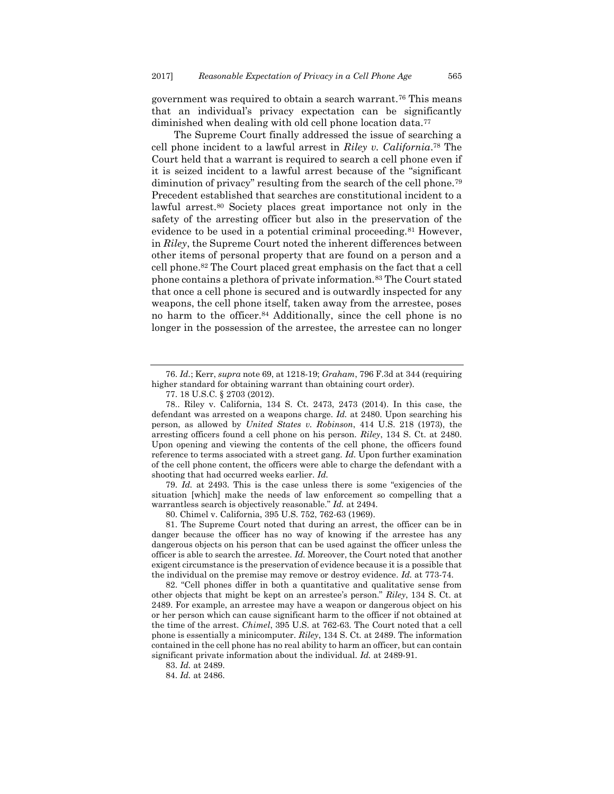government was required to obtain a search warrant.<sup>76</sup> This means that an individual's privacy expectation can be significantly diminished when dealing with old cell phone location data.<sup>77</sup>

The Supreme Court finally addressed the issue of searching a cell phone incident to a lawful arrest in *Riley v. California*. <sup>78</sup> The Court held that a warrant is required to search a cell phone even if it is seized incident to a lawful arrest because of the "significant diminution of privacy" resulting from the search of the cell phone.<sup>79</sup> Precedent established that searches are constitutional incident to a lawful arrest.<sup>80</sup> Society places great importance not only in the safety of the arresting officer but also in the preservation of the evidence to be used in a potential criminal proceeding.<sup>81</sup> However, in *Riley*, the Supreme Court noted the inherent differences between other items of personal property that are found on a person and a cell phone.<sup>82</sup> The Court placed great emphasis on the fact that a cell phone contains a plethora of private information.<sup>83</sup> The Court stated that once a cell phone is secured and is outwardly inspected for any weapons, the cell phone itself, taken away from the arrestee, poses no harm to the officer.<sup>84</sup> Additionally, since the cell phone is no longer in the possession of the arrestee, the arrestee can no longer

79. *Id.* at 2493. This is the case unless there is some "exigencies of the situation [which] make the needs of law enforcement so compelling that a warrantless search is objectively reasonable." *Id.* at 2494.

80. Chimel v. California, 395 U.S. 752, 762-63 (1969).

<sup>76.</sup> *Id.*; Kerr, *supra* note 69, at 1218-19; *Graham*, 796 F.3d at 344 (requiring higher standard for obtaining warrant than obtaining court order).

<sup>77.</sup> 18 U.S.C. § 2703 (2012).

<sup>78..</sup> Riley v. California, 134 S. Ct. 2473, 2473 (2014). In this case, the defendant was arrested on a weapons charge. *Id.* at 2480. Upon searching his person, as allowed by *United States v. Robinson*, 414 U.S. 218 (1973), the arresting officers found a cell phone on his person. *Riley*, 134 S. Ct. at 2480. Upon opening and viewing the contents of the cell phone, the officers found reference to terms associated with a street gang*. Id.* Upon further examination of the cell phone content, the officers were able to charge the defendant with a shooting that had occurred weeks earlier. *Id.*

<sup>81.</sup> The Supreme Court noted that during an arrest, the officer can be in danger because the officer has no way of knowing if the arrestee has any dangerous objects on his person that can be used against the officer unless the officer is able to search the arrestee. *Id.* Moreover, the Court noted that another exigent circumstance is the preservation of evidence because it is a possible that the individual on the premise may remove or destroy evidence. *Id.* at 773-74.

<sup>82.</sup> "Cell phones differ in both a quantitative and qualitative sense from other objects that might be kept on an arrestee's person." *Riley*, 134 S. Ct. at 2489. For example, an arrestee may have a weapon or dangerous object on his or her person which can cause significant harm to the officer if not obtained at the time of the arrest. *Chimel*, 395 U.S. at 762-63. The Court noted that a cell phone is essentially a minicomputer. *Riley*, 134 S. Ct*.* at 2489. The information contained in the cell phone has no real ability to harm an officer, but can contain significant private information about the individual. *Id.* at 2489-91.

<sup>83.</sup> *Id.* at 2489.

<sup>84.</sup> *Id.* at 2486.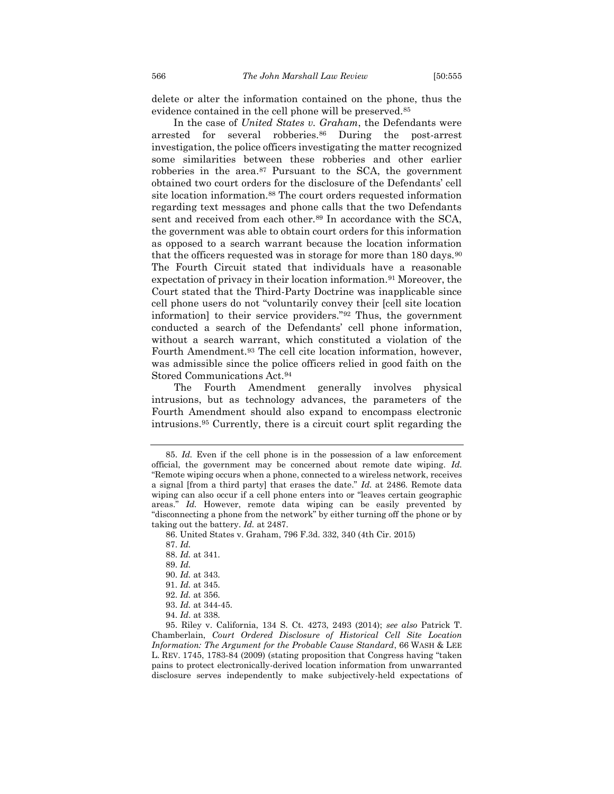delete or alter the information contained on the phone, thus the evidence contained in the cell phone will be preserved.<sup>85</sup>

In the case of *United States v. Graham*, the Defendants were arrested for several robberies.<sup>86</sup> During the post-arrest investigation, the police officers investigating the matter recognized some similarities between these robberies and other earlier robberies in the area.<sup>87</sup> Pursuant to the SCA, the government obtained two court orders for the disclosure of the Defendants' cell site location information.<sup>88</sup> The court orders requested information regarding text messages and phone calls that the two Defendants sent and received from each other.<sup>89</sup> In accordance with the SCA, the government was able to obtain court orders for this information as opposed to a search warrant because the location information that the officers requested was in storage for more than  $180 \text{ days}$ .  $90 \text{ days}$ The Fourth Circuit stated that individuals have a reasonable expectation of privacy in their location information.<sup>91</sup> Moreover, the Court stated that the Third-Party Doctrine was inapplicable since cell phone users do not "voluntarily convey their [cell site location information] to their service providers."<sup>92</sup> Thus, the government conducted a search of the Defendants' cell phone information, without a search warrant, which constituted a violation of the Fourth Amendment.<sup>93</sup> The cell cite location information, however, was admissible since the police officers relied in good faith on the Stored Communications Act.<sup>94</sup>

The Fourth Amendment generally involves physical intrusions, but as technology advances, the parameters of the Fourth Amendment should also expand to encompass electronic intrusions.<sup>95</sup> Currently, there is a circuit court split regarding the

<sup>85.</sup> *Id.* Even if the cell phone is in the possession of a law enforcement official, the government may be concerned about remote date wiping. *Id.*  "Remote wiping occurs when a phone, connected to a wireless network, receives a signal [from a third party] that erases the date." *Id.* at 2486. Remote data wiping can also occur if a cell phone enters into or "leaves certain geographic areas." *Id.* However, remote data wiping can be easily prevented by "disconnecting a phone from the network" by either turning off the phone or by taking out the battery. *Id.* at 2487.

<sup>86.</sup> United States v. Graham, 796 F.3d. 332, 340 (4th Cir. 2015)

<sup>87.</sup> *Id.*

<sup>88.</sup> *Id.* at 341.

<sup>89.</sup> *Id.*

<sup>90.</sup> *Id.* at 343.

<sup>91.</sup> *Id.* at 345.

<sup>92.</sup> *Id.* at 356.

<sup>93.</sup> *Id.* at 344-45.

<sup>94.</sup> *Id*. at 338.

<sup>95.</sup> Riley v. California, 134 S. Ct. 4273, 2493 (2014); *see also* Patrick T. Chamberlain, *Court Ordered Disclosure of Historical Cell Site Location Information: The Argument for the Probable Cause Standard*, 66 WASH & LEE L. REV. 1745, 1783-84 (2009) (stating proposition that Congress having "taken pains to protect electronically-derived location information from unwarranted disclosure serves independently to make subjectively-held expectations of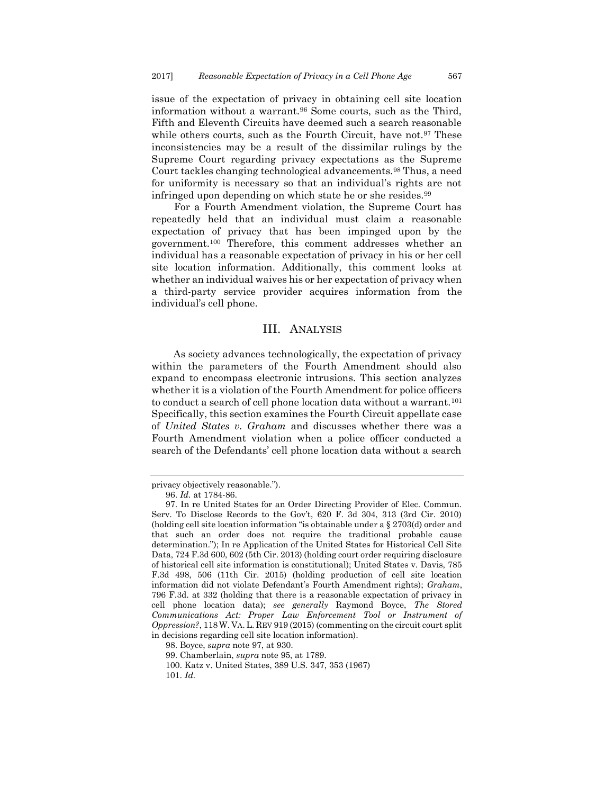issue of the expectation of privacy in obtaining cell site location information without a warrant.<sup>96</sup> Some courts, such as the Third, Fifth and Eleventh Circuits have deemed such a search reasonable while others courts, such as the Fourth Circuit, have not.<sup>97</sup> These inconsistencies may be a result of the dissimilar rulings by the Supreme Court regarding privacy expectations as the Supreme Court tackles changing technological advancements.<sup>98</sup> Thus, a need for uniformity is necessary so that an individual's rights are not infringed upon depending on which state he or she resides.<sup>99</sup>

For a Fourth Amendment violation, the Supreme Court has repeatedly held that an individual must claim a reasonable expectation of privacy that has been impinged upon by the government.<sup>100</sup> Therefore, this comment addresses whether an individual has a reasonable expectation of privacy in his or her cell site location information. Additionally, this comment looks at whether an individual waives his or her expectation of privacy when a third-party service provider acquires information from the individual's cell phone.

#### III. ANALYSIS

<span id="page-13-0"></span>As society advances technologically, the expectation of privacy within the parameters of the Fourth Amendment should also expand to encompass electronic intrusions. This section analyzes whether it is a violation of the Fourth Amendment for police officers to conduct a search of cell phone location data without a warrant.<sup>101</sup> Specifically, this section examines the Fourth Circuit appellate case of *United States v. Graham* and discusses whether there was a Fourth Amendment violation when a police officer conducted a search of the Defendants' cell phone location data without a search

privacy objectively reasonable.").

<sup>96.</sup> *Id.* at 1784-86.

<sup>97.</sup> In re United States for an Order Directing Provider of Elec. Commun. Serv. To Disclose Records to the Gov't, 620 F. 3d 304, 313 (3rd Cir. 2010) (holding cell site location information "is obtainable under a § 2703(d) order and that such an order does not require the traditional probable cause determination."); In re Application of the United States for Historical Cell Site Data, 724 F.3d 600, 602 (5th Cir. 2013) (holding court order requiring disclosure of historical cell site information is constitutional); United States v. Davis, 785 F.3d 498, 506 (11th Cir. 2015) (holding production of cell site location information did not violate Defendant's Fourth Amendment rights); *Graham*, 796 F.3d. at 332 (holding that there is a reasonable expectation of privacy in cell phone location data); *see generally* Raymond Boyce, *The Stored Communications Act: Proper Law Enforcement Tool or Instrument of Oppression?*, 118W. VA. L. REV 919 (2015) (commenting on the circuit court split in decisions regarding cell site location information).

<sup>98.</sup> Boyce, *supra* note 97, at 930.

<sup>99.</sup> Chamberlain, *supra* note 95, at 1789.

<sup>100.</sup> Katz v. United States, 389 U.S. 347, 353 (1967)

<sup>101.</sup> *Id.*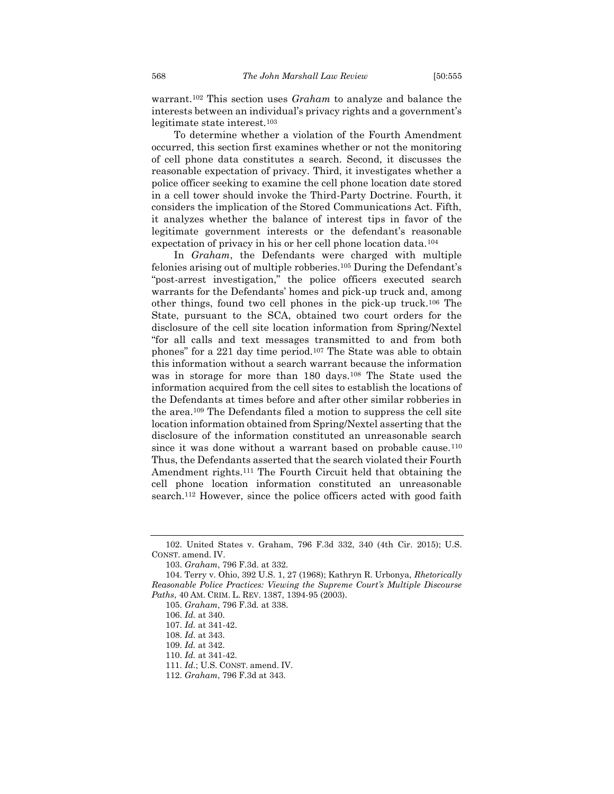warrant. <sup>102</sup> This section uses *Graham* to analyze and balance the interests between an individual's privacy rights and a government's legitimate state interest.<sup>103</sup>

To determine whether a violation of the Fourth Amendment occurred, this section first examines whether or not the monitoring of cell phone data constitutes a search. Second, it discusses the reasonable expectation of privacy. Third, it investigates whether a police officer seeking to examine the cell phone location date stored in a cell tower should invoke the Third-Party Doctrine. Fourth, it considers the implication of the Stored Communications Act. Fifth, it analyzes whether the balance of interest tips in favor of the legitimate government interests or the defendant's reasonable expectation of privacy in his or her cell phone location data.<sup>104</sup>

In *Graham*, the Defendants were charged with multiple felonies arising out of multiple robberies.<sup>105</sup> During the Defendant's "post-arrest investigation," the police officers executed search warrants for the Defendants' homes and pick-up truck and, among other things, found two cell phones in the pick-up truck.<sup>106</sup> The State, pursuant to the SCA, obtained two court orders for the disclosure of the cell site location information from Spring/Nextel "for all calls and text messages transmitted to and from both phones" for a 221 day time period.<sup>107</sup> The State was able to obtain this information without a search warrant because the information was in storage for more than 180 days.<sup>108</sup> The State used the information acquired from the cell sites to establish the locations of the Defendants at times before and after other similar robberies in the area.<sup>109</sup> The Defendants filed a motion to suppress the cell site location information obtained from Spring/Nextel asserting that the disclosure of the information constituted an unreasonable search since it was done without a warrant based on probable cause. $110$ Thus, the Defendants asserted that the search violated their Fourth Amendment rights.<sup>111</sup> The Fourth Circuit held that obtaining the cell phone location information constituted an unreasonable search.<sup>112</sup> However, since the police officers acted with good faith

<sup>102.</sup> United States v. Graham, 796 F.3d 332, 340 (4th Cir. 2015); U.S. CONST. amend. IV.

<sup>103.</sup> *Graham*, 796 F.3d. at 332.

<sup>104.</sup> Terry v. Ohio, 392 U.S. 1, 27 (1968); Kathryn R. Urbonya, *Rhetorically Reasonable Police Practices: Viewing the Supreme Court's Multiple Discourse Paths*, 40 AM. CRIM. L. REV. 1387, 1394-95 (2003).

<sup>105.</sup> *Graham*, 796 F.3d*.* at 338.

<sup>106.</sup> *Id.* at 340.

<sup>107.</sup> *Id.* at 341-42.

<sup>108.</sup> *Id*. at 343.

<sup>109.</sup> *Id.* at 342.

<sup>110.</sup> *Id.* at 341-42.

<sup>111.</sup> *Id.*; U.S. CONST. amend. IV.

<sup>112.</sup> *Graham*, 796 F.3d at 343.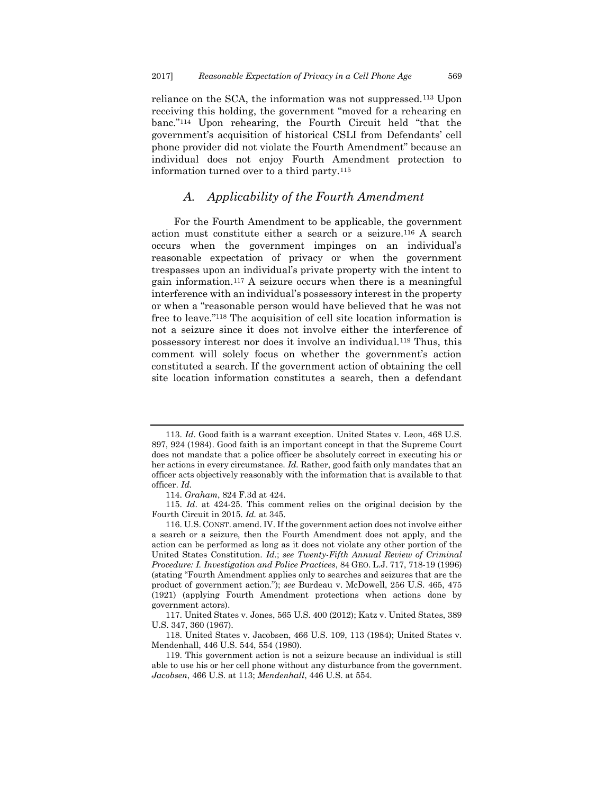reliance on the SCA, the information was not suppressed.<sup>113</sup> Upon receiving this holding, the government "moved for a rehearing en banc."<sup>114</sup> Upon rehearing, the Fourth Circuit held "that the government's acquisition of historical CSLI from Defendants' cell phone provider did not violate the Fourth Amendment" because an individual does not enjoy Fourth Amendment protection to information turned over to a third party.<sup>115</sup>

## *A. Applicability of the Fourth Amendment*

<span id="page-15-0"></span>For the Fourth Amendment to be applicable, the government action must constitute either a search or a seizure.<sup>116</sup> A search occurs when the government impinges on an individual's reasonable expectation of privacy or when the government trespasses upon an individual's private property with the intent to gain information.<sup>117</sup> A seizure occurs when there is a meaningful interference with an individual's possessory interest in the property or when a "reasonable person would have believed that he was not free to leave."<sup>118</sup> The acquisition of cell site location information is not a seizure since it does not involve either the interference of possessory interest nor does it involve an individual.<sup>119</sup> Thus, this comment will solely focus on whether the government's action constituted a search. If the government action of obtaining the cell site location information constitutes a search, then a defendant

<sup>113.</sup> *Id*. Good faith is a warrant exception. United States v. Leon, 468 U.S. 897, 924 (1984). Good faith is an important concept in that the Supreme Court does not mandate that a police officer be absolutely correct in executing his or her actions in every circumstance. *Id.* Rather, good faith only mandates that an officer acts objectively reasonably with the information that is available to that officer. *Id.*

<sup>114.</sup> *Graham*, 824 F.3d at 424.

<sup>115.</sup> *Id*. at 424-25. This comment relies on the original decision by the Fourth Circuit in 2015. *Id.* at 345.

<sup>116.</sup> U.S. CONST. amend. IV. If the government action does not involve either a search or a seizure, then the Fourth Amendment does not apply, and the action can be performed as long as it does not violate any other portion of the United States Constitution. *Id.*; *see Twenty-Fifth Annual Review of Criminal Procedure: I. Investigation and Police Practices*, 84 GEO. L.J. 717, 718-19 (1996) (stating "Fourth Amendment applies only to searches and seizures that are the product of government action."); *see* Burdeau v. McDowell, 256 U.S. 465, 475 (1921) (applying Fourth Amendment protections when actions done by government actors).

<sup>117.</sup> United States v. Jones, 565 U.S. 400 (2012); Katz v. United States, 389 U.S. 347, 360 (1967).

<sup>118.</sup> United States v. Jacobsen, 466 U.S. 109, 113 (1984); United States v. Mendenhall, 446 U.S. 544, 554 (1980).

<sup>119.</sup> This government action is not a seizure because an individual is still able to use his or her cell phone without any disturbance from the government. *Jacobsen*, 466 U.S. at 113; *Mendenhall*, 446 U.S. at 554.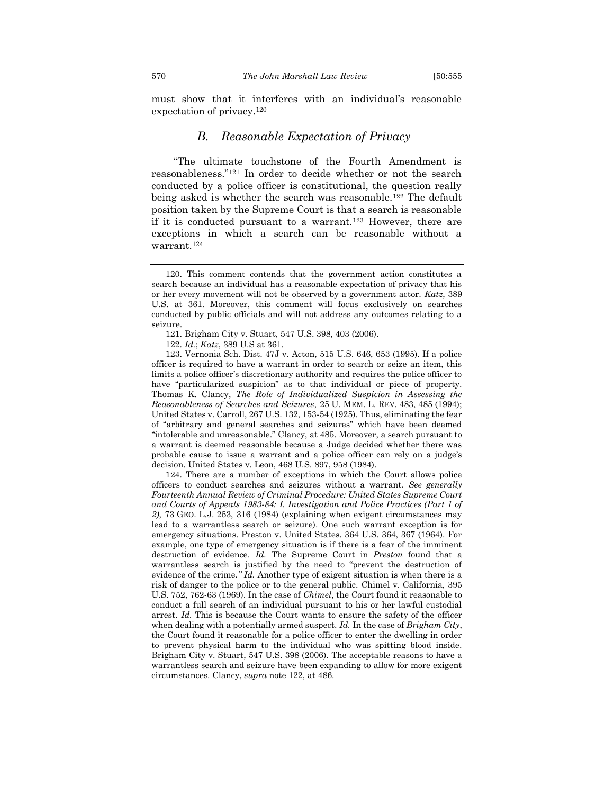must show that it interferes with an individual's reasonable expectation of privacy.<sup>120</sup>

## *B. Reasonable Expectation of Privacy*

<span id="page-16-0"></span>"The ultimate touchstone of the Fourth Amendment is reasonableness."<sup>121</sup> In order to decide whether or not the search conducted by a police officer is constitutional, the question really being asked is whether the search was reasonable.<sup>122</sup> The default position taken by the Supreme Court is that a search is reasonable if it is conducted pursuant to a warrant.<sup>123</sup> However, there are exceptions in which a search can be reasonable without a warrant.<sup>124</sup>

121. Brigham City v. Stuart, 547 U.S. 398, 403 (2006).

122. *Id.*; *Katz*, 389 U.S at 361.

123. Vernonia Sch. Dist. 47J v. Acton, 515 U.S. 646, 653 (1995). If a police officer is required to have a warrant in order to search or seize an item, this limits a police officer's discretionary authority and requires the police officer to have "particularized suspicion" as to that individual or piece of property. Thomas K. Clancy, *The Role of Individualized Suspicion in Assessing the Reasonableness of Searches and Seizures*, 25 U. MEM. L. REV. 483, 485 (1994); United States v. Carroll, 267 U.S. 132, 153-54 (1925). Thus, eliminating the fear of "arbitrary and general searches and seizures" which have been deemed "intolerable and unreasonable." Clancy, at 485. Moreover, a search pursuant to a warrant is deemed reasonable because a Judge decided whether there was probable cause to issue a warrant and a police officer can rely on a judge's decision. United States v. Leon, 468 U.S. 897, 958 (1984).

124. There are a number of exceptions in which the Court allows police officers to conduct searches and seizures without a warrant. *See generally Fourteenth Annual Review of Criminal Procedure: United States Supreme Court and Courts of Appeals 1983-84: I. Investigation and Police Practices (Part 1 of 2)*, 73 GEO. L.J. 253, 316 (1984) (explaining when exigent circumstances may lead to a warrantless search or seizure). One such warrant exception is for emergency situations. Preston v. United States. 364 U.S. 364, 367 (1964). For example, one type of emergency situation is if there is a fear of the imminent destruction of evidence. *Id.* The Supreme Court in *Preston* found that a warrantless search is justified by the need to "prevent the destruction of evidence of the crime*." Id.* Another type of exigent situation is when there is a risk of danger to the police or to the general public. Chimel v. California, 395 U.S. 752, 762-63 (1969). In the case of *Chimel*, the Court found it reasonable to conduct a full search of an individual pursuant to his or her lawful custodial arrest. *Id.* This is because the Court wants to ensure the safety of the officer when dealing with a potentially armed suspect. *Id.* In the case of *Brigham City*, the Court found it reasonable for a police officer to enter the dwelling in order to prevent physical harm to the individual who was spitting blood inside. Brigham City v. Stuart, 547 U.S. 398 (2006). The acceptable reasons to have a warrantless search and seizure have been expanding to allow for more exigent circumstances. Clancy, *supra* note 122, at 486.

<sup>120.</sup> This comment contends that the government action constitutes a search because an individual has a reasonable expectation of privacy that his or her every movement will not be observed by a government actor. *Katz*, 389 U.S. at 361. Moreover, this comment will focus exclusively on searches conducted by public officials and will not address any outcomes relating to a seizure.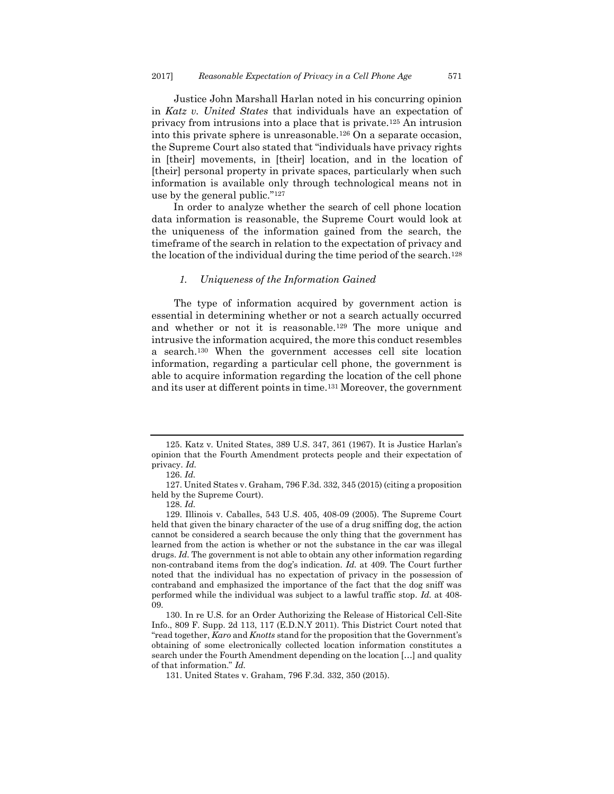Justice John Marshall Harlan noted in his concurring opinion in *Katz v. United States* that individuals have an expectation of privacy from intrusions into a place that is private.<sup>125</sup> An intrusion into this private sphere is unreasonable.<sup>126</sup> On a separate occasion, the Supreme Court also stated that "individuals have privacy rights in [their] movements, in [their] location, and in the location of [their] personal property in private spaces, particularly when such information is available only through technological means not in use by the general public."<sup>127</sup>

In order to analyze whether the search of cell phone location data information is reasonable, the Supreme Court would look at the uniqueness of the information gained from the search, the timeframe of the search in relation to the expectation of privacy and the location of the individual during the time period of the search.<sup>128</sup>

#### <span id="page-17-0"></span>*1. Uniqueness of the Information Gained*

The type of information acquired by government action is essential in determining whether or not a search actually occurred and whether or not it is reasonable.<sup>129</sup> The more unique and intrusive the information acquired, the more this conduct resembles a search.<sup>130</sup> When the government accesses cell site location information, regarding a particular cell phone, the government is able to acquire information regarding the location of the cell phone and its user at different points in time.<sup>131</sup> Moreover, the government

<sup>125.</sup> Katz v. United States, 389 U.S. 347, 361 (1967). It is Justice Harlan's opinion that the Fourth Amendment protects people and their expectation of privacy. *Id.*

<sup>126.</sup> *Id.* 

<sup>127.</sup> United States v. Graham, 796 F.3d. 332, 345 (2015) (citing a proposition held by the Supreme Court).

<sup>128.</sup> *Id.*

<sup>129.</sup> Illinois v. Caballes, 543 U.S. 405, 408-09 (2005). The Supreme Court held that given the binary character of the use of a drug sniffing dog, the action cannot be considered a search because the only thing that the government has learned from the action is whether or not the substance in the car was illegal drugs. *Id.* The government is not able to obtain any other information regarding non-contraband items from the dog's indication. *Id.* at 409. The Court further noted that the individual has no expectation of privacy in the possession of contraband and emphasized the importance of the fact that the dog sniff was performed while the individual was subject to a lawful traffic stop. *Id.* at 408- 09.

<sup>130.</sup> In re U.S. for an Order Authorizing the Release of Historical Cell-Site Info., 809 F. Supp. 2d 113, 117 (E.D.N.Y 2011). This District Court noted that "read together, *Karo* and *Knotts* stand for the proposition that the Government's obtaining of some electronically collected location information constitutes a search under the Fourth Amendment depending on the location […] and quality of that information." *Id.*

<sup>131.</sup> United States v. Graham, 796 F.3d. 332, 350 (2015).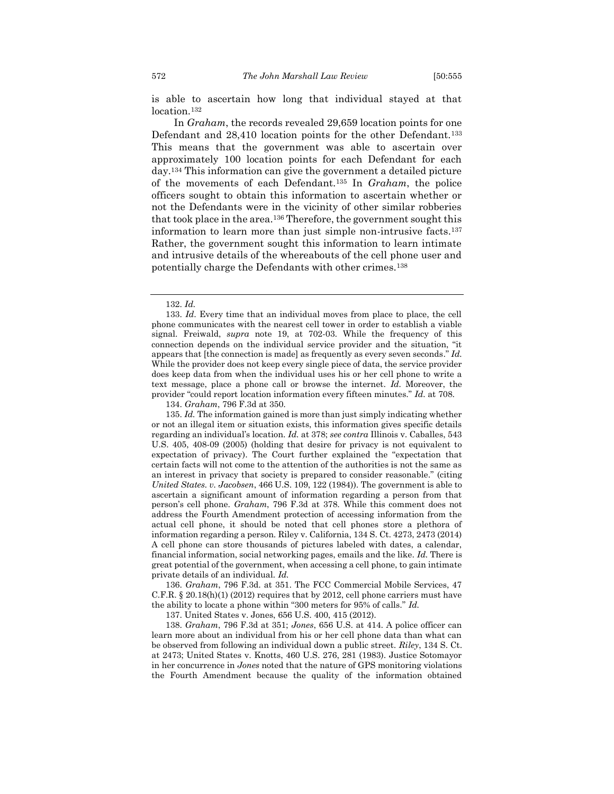is able to ascertain how long that individual stayed at that location.<sup>132</sup>

In *Graham*, the records revealed 29,659 location points for one Defendant and 28,410 location points for the other Defendant.<sup>133</sup> This means that the government was able to ascertain over approximately 100 location points for each Defendant for each day.<sup>134</sup> This information can give the government a detailed picture of the movements of each Defendant.<sup>135</sup> In *Graham*, the police officers sought to obtain this information to ascertain whether or not the Defendants were in the vicinity of other similar robberies that took place in the area.<sup>136</sup> Therefore, the government sought this information to learn more than just simple non-intrusive facts.<sup>137</sup> Rather, the government sought this information to learn intimate and intrusive details of the whereabouts of the cell phone user and potentially charge the Defendants with other crimes.<sup>138</sup>

134. *Graham*, 796 F.3d at 350.

135. *Id.* The information gained is more than just simply indicating whether or not an illegal item or situation exists, this information gives specific details regarding an individual's location. *Id.* at 378; *see contra* Illinois v. Caballes, 543 U.S. 405, 408-09 (2005) (holding that desire for privacy is not equivalent to expectation of privacy). The Court further explained the "expectation that certain facts will not come to the attention of the authorities is not the same as an interest in privacy that society is prepared to consider reasonable." (citing *United States. v. Jacobsen*, 466 U.S. 109, 122 (1984)). The government is able to ascertain a significant amount of information regarding a person from that person's cell phone. *Graham*, 796 F.3d at 378. While this comment does not address the Fourth Amendment protection of accessing information from the actual cell phone, it should be noted that cell phones store a plethora of information regarding a person. Riley v. California, 134 S. Ct. 4273, 2473 (2014) A cell phone can store thousands of pictures labeled with dates, a calendar, financial information, social networking pages, emails and the like. *Id.* There is great potential of the government, when accessing a cell phone, to gain intimate private details of an individual*. Id.*

136. *Graham*, 796 F.3d. at 351. The FCC Commercial Mobile Services, 47 C.F.R. § 20.18(h)(1) (2012) requires that by 2012, cell phone carriers must have the ability to locate a phone within "300 meters for 95% of calls." *Id.*

137. United States v. Jones, 656 U.S. 400, 415 (2012).

138. *Graham*, 796 F.3d at 351; *Jones*, 656 U.S. at 414. A police officer can learn more about an individual from his or her cell phone data than what can be observed from following an individual down a public street. *Riley*, 134 S. Ct. at 2473; United States v. Knotts, 460 U.S. 276, 281 (1983). Justice Sotomayor in her concurrence in *Jones* noted that the nature of GPS monitoring violations the Fourth Amendment because the quality of the information obtained

<sup>132.</sup> *Id.*

<sup>133.</sup> *Id*. Every time that an individual moves from place to place, the cell phone communicates with the nearest cell tower in order to establish a viable signal. Freiwald, *supra* note 19, at 702-03. While the frequency of this connection depends on the individual service provider and the situation, "it appears that [the connection is made] as frequently as every seven seconds." *Id.* While the provider does not keep every single piece of data, the service provider does keep data from when the individual uses his or her cell phone to write a text message, place a phone call or browse the internet. *Id.* Moreover, the provider "could report location information every fifteen minutes." *Id.* at 708.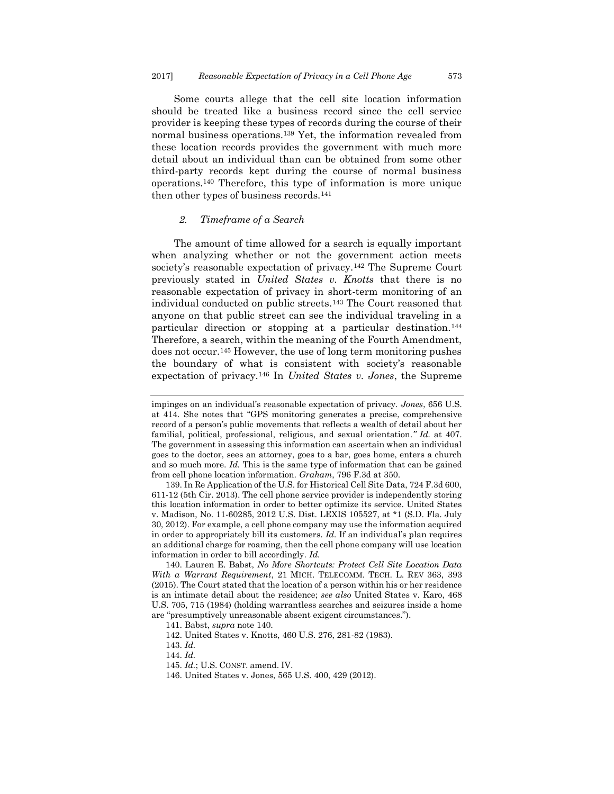Some courts allege that the cell site location information should be treated like a business record since the cell service provider is keeping these types of records during the course of their normal business operations.<sup>139</sup> Yet, the information revealed from these location records provides the government with much more detail about an individual than can be obtained from some other third-party records kept during the course of normal business operations.<sup>140</sup> Therefore, this type of information is more unique then other types of business records.<sup>141</sup>

#### <span id="page-19-0"></span>*2. Timeframe of a Search*

The amount of time allowed for a search is equally important when analyzing whether or not the government action meets society's reasonable expectation of privacy.<sup>142</sup> The Supreme Court previously stated in *United States v. Knotts* that there is no reasonable expectation of privacy in short-term monitoring of an individual conducted on public streets.<sup>143</sup> The Court reasoned that anyone on that public street can see the individual traveling in a particular direction or stopping at a particular destination.<sup>144</sup> Therefore, a search, within the meaning of the Fourth Amendment, does not occur.<sup>145</sup> However, the use of long term monitoring pushes the boundary of what is consistent with society's reasonable expectation of privacy.<sup>146</sup> In *United States v. Jones*, the Supreme

impinges on an individual's reasonable expectation of privacy. *Jones*, 656 U.S. at 414. She notes that "GPS monitoring generates a precise, comprehensive record of a person's public movements that reflects a wealth of detail about her familial, political, professional, religious, and sexual orientation.*" Id.* at 407. The government in assessing this information can ascertain when an individual goes to the doctor, sees an attorney, goes to a bar, goes home, enters a church and so much more. *Id.* This is the same type of information that can be gained from cell phone location information. *Graham*, 796 F.3d at 350.

<sup>139.</sup> In Re Application of the U.S. for Historical Cell Site Data, 724 F.3d 600, 611-12 (5th Cir. 2013). The cell phone service provider is independently storing this location information in order to better optimize its service. United States v. Madison, No. 11-60285, 2012 U.S. Dist. LEXIS 105527, at \*1 (S.D. Fla. July 30, 2012). For example, a cell phone company may use the information acquired in order to appropriately bill its customers. *Id.* If an individual's plan requires an additional charge for roaming, then the cell phone company will use location information in order to bill accordingly. *Id.* 

<sup>140.</sup> Lauren E. Babst, *No More Shortcuts: Protect Cell Site Location Data With a Warrant Requirement*, 21 MICH. TELECOMM. TECH. L. REV 363, 393 (2015). The Court stated that the location of a person within his or her residence is an intimate detail about the residence; *see also* United States v. Karo, 468 U.S. 705, 715 (1984) (holding warrantless searches and seizures inside a home are "presumptively unreasonable absent exigent circumstances.").

<sup>141.</sup> Babst, *supra* note 140.

<sup>142.</sup> United States v. Knotts, 460 U.S. 276, 281-82 (1983).

<sup>143.</sup> *Id.*

<sup>144.</sup> *Id.*

<sup>145.</sup> *Id.*; U.S. CONST. amend. IV.

<sup>146.</sup> United States v. Jones, 565 U.S. 400, 429 (2012).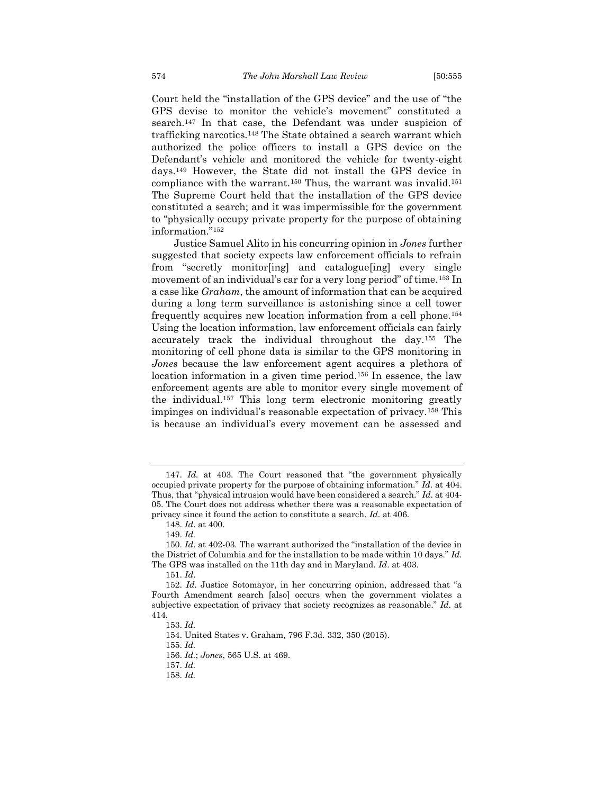Court held the "installation of the GPS device" and the use of "the GPS devise to monitor the vehicle's movement" constituted a search.<sup>147</sup> In that case, the Defendant was under suspicion of trafficking narcotics.<sup>148</sup> The State obtained a search warrant which authorized the police officers to install a GPS device on the Defendant's vehicle and monitored the vehicle for twenty-eight days.<sup>149</sup> However, the State did not install the GPS device in compliance with the warrant.<sup>150</sup> Thus, the warrant was invalid.<sup>151</sup> The Supreme Court held that the installation of the GPS device constituted a search; and it was impermissible for the government to "physically occupy private property for the purpose of obtaining information."<sup>152</sup>

Justice Samuel Alito in his concurring opinion in *Jones* further suggested that society expects law enforcement officials to refrain from "secretly monitor[ing] and catalogue[ing] every single movement of an individual's car for a very long period" of time.<sup>153</sup> In a case like *Graham*, the amount of information that can be acquired during a long term surveillance is astonishing since a cell tower frequently acquires new location information from a cell phone.<sup>154</sup> Using the location information, law enforcement officials can fairly accurately track the individual throughout the day.<sup>155</sup> The monitoring of cell phone data is similar to the GPS monitoring in *Jones* because the law enforcement agent acquires a plethora of location information in a given time period.<sup>156</sup> In essence, the law enforcement agents are able to monitor every single movement of the individual.<sup>157</sup> This long term electronic monitoring greatly impinges on individual's reasonable expectation of privacy.<sup>158</sup> This is because an individual's every movement can be assessed and

154. United States v. Graham, 796 F.3d. 332, 350 (2015).

155. *Id.*

157. *Id.*

<sup>147.</sup> *Id.* at 403. The Court reasoned that "the government physically occupied private property for the purpose of obtaining information." *Id*. at 404. Thus, that "physical intrusion would have been considered a search." *Id*. at 404- 05. The Court does not address whether there was a reasonable expectation of privacy since it found the action to constitute a search. *Id*. at 406.

<sup>148.</sup> *Id*. at 400.

<sup>149.</sup> *Id.*

<sup>150.</sup> *Id*. at 402-03. The warrant authorized the "installation of the device in the District of Columbia and for the installation to be made within 10 days." *Id.* The GPS was installed on the 11th day and in Maryland. *Id*. at 403.

<sup>151.</sup> *Id*.

<sup>152.</sup> *Id.* Justice Sotomayor, in her concurring opinion, addressed that "a Fourth Amendment search [also] occurs when the government violates a subjective expectation of privacy that society recognizes as reasonable." *Id*. at 414.

<sup>153.</sup> *Id.*

<sup>156.</sup> *Id.*; *Jones*, 565 U.S. at 469.

<sup>158.</sup> *Id.*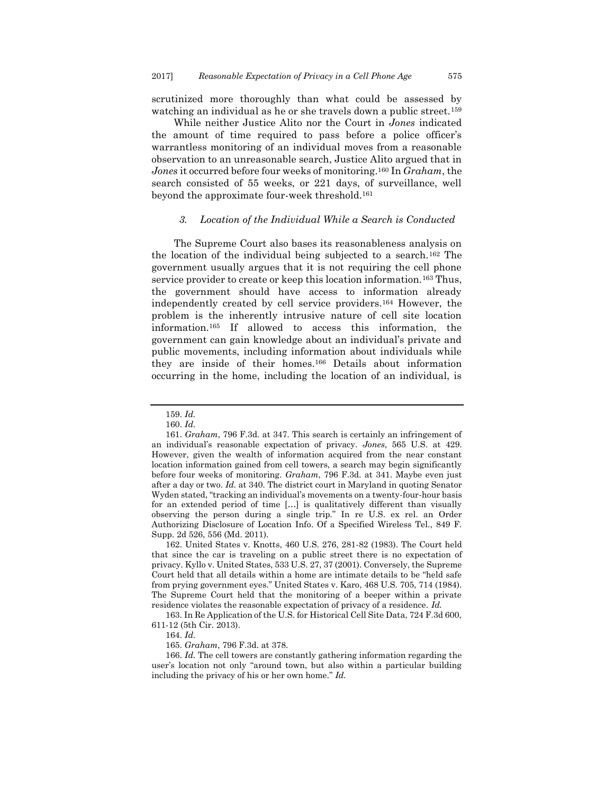scrutinized more thoroughly than what could be assessed by watching an individual as he or she travels down a public street.<sup>159</sup>

While neither Justice Alito nor the Court in *Jones* indicated the amount of time required to pass before a police officer's warrantless monitoring of an individual moves from a reasonable observation to an unreasonable search, Justice Alito argued that in *Jones* it occurred before four weeks of monitoring.<sup>160</sup> In *Graham*, the search consisted of 55 weeks, or 221 days, of surveillance, well beyond the approximate four-week threshold.<sup>161</sup>

#### <span id="page-21-0"></span>*3. Location of the Individual While a Search is Conducted*

The Supreme Court also bases its reasonableness analysis on the location of the individual being subjected to a search.<sup>162</sup> The government usually argues that it is not requiring the cell phone service provider to create or keep this location information.<sup>163</sup> Thus, the government should have access to information already independently created by cell service providers.<sup>164</sup> However, the problem is the inherently intrusive nature of cell site location information.<sup>165</sup> If allowed to access this information, the government can gain knowledge about an individual's private and public movements, including information about individuals while they are inside of their homes.<sup>166</sup> Details about information occurring in the home, including the location of an individual, is

165. *Graham*, 796 F.3d. at 378.

<sup>159.</sup> *Id.*

<sup>160.</sup> *Id.*

<sup>161.</sup> *Graham*, 796 F.3d. at 347. This search is certainly an infringement of an individual's reasonable expectation of privacy. *Jones*, 565 U.S. at 429. However, given the wealth of information acquired from the near constant location information gained from cell towers, a search may begin significantly before four weeks of monitoring. *Graham*, 796 F.3d. at 341. Maybe even just after a day or two. *Id.* at 340. The district court in Maryland in quoting Senator Wyden stated, "tracking an individual's movements on a twenty-four-hour basis for an extended period of time […] is qualitatively different than visually observing the person during a single trip." In re U.S. ex rel. an Order Authorizing Disclosure of Location Info. Of a Specified Wireless Tel., 849 F. Supp. 2d 526, 556 (Md. 2011).

<sup>162.</sup> United States v. Knotts, 460 U.S. 276, 281-82 (1983). The Court held that since the car is traveling on a public street there is no expectation of privacy. Kyllo v. United States, 533 U.S. 27, 37 (2001). Conversely, the Supreme Court held that all details within a home are intimate details to be "held safe from prying government eyes." United States v. Karo, 468 U.S. 705, 714 (1984). The Supreme Court held that the monitoring of a beeper within a private residence violates the reasonable expectation of privacy of a residence. *Id.*

<sup>163.</sup> In Re Application of the U.S. for Historical Cell Site Data, 724 F.3d 600, 611-12 (5th Cir. 2013).

<sup>164.</sup> *Id.*

<sup>166.</sup> *Id.* The cell towers are constantly gathering information regarding the user's location not only "around town, but also within a particular building including the privacy of his or her own home." *Id.*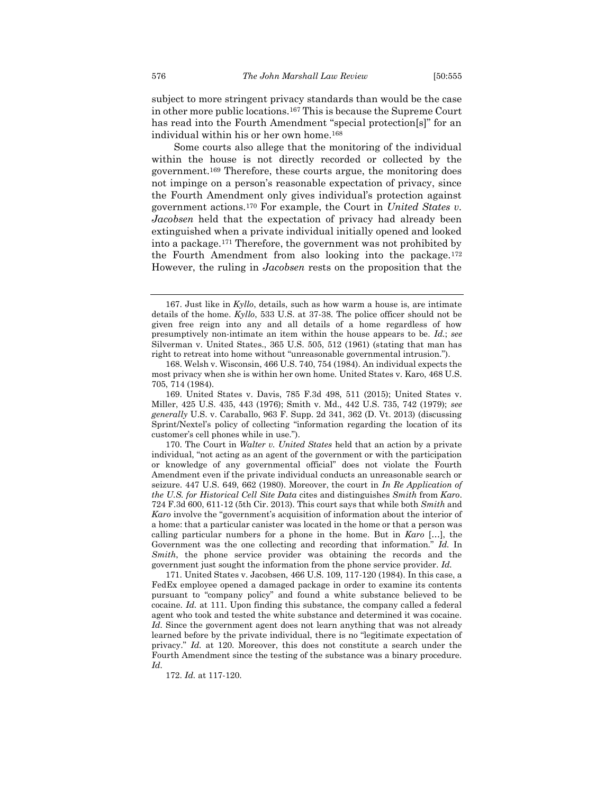subject to more stringent privacy standards than would be the case in other more public locations.<sup>167</sup> This is because the Supreme Court has read into the Fourth Amendment "special protection[s]" for an individual within his or her own home.<sup>168</sup>

Some courts also allege that the monitoring of the individual within the house is not directly recorded or collected by the government.<sup>169</sup> Therefore, these courts argue, the monitoring does not impinge on a person's reasonable expectation of privacy, since the Fourth Amendment only gives individual's protection against government actions.<sup>170</sup> For example, the Court in *United States v. Jacobsen* held that the expectation of privacy had already been extinguished when a private individual initially opened and looked into a package.<sup>171</sup> Therefore, the government was not prohibited by the Fourth Amendment from also looking into the package.<sup>172</sup> However, the ruling in *Jacobsen* rests on the proposition that the

170. The Court in *Walter v. United States* held that an action by a private individual, "not acting as an agent of the government or with the participation or knowledge of any governmental official" does not violate the Fourth Amendment even if the private individual conducts an unreasonable search or seizure. 447 U.S. 649, 662 (1980). Moreover, the court in *In Re Application of the U.S. for Historical Cell Site Data* cites and distinguishes *Smith* from *Karo*. 724 F.3d 600, 611-12 (5th Cir. 2013). This court says that while both *Smith* and *Karo* involve the "government's acquisition of information about the interior of a home: that a particular canister was located in the home or that a person was calling particular numbers for a phone in the home. But in *Karo* […], the Government was the one collecting and recording that information." *Id.* In *Smith*, the phone service provider was obtaining the records and the government just sought the information from the phone service provider. *Id.*

171. United States v. Jacobsen, 466 U.S. 109, 117-120 (1984). In this case, a FedEx employee opened a damaged package in order to examine its contents pursuant to "company policy" and found a white substance believed to be cocaine. *Id.* at 111. Upon finding this substance, the company called a federal agent who took and tested the white substance and determined it was cocaine. *Id.* Since the government agent does not learn anything that was not already learned before by the private individual, there is no "legitimate expectation of privacy." *Id.* at 120. Moreover, this does not constitute a search under the Fourth Amendment since the testing of the substance was a binary procedure. *Id.* 

172. *Id.* at 117-120.

<sup>167.</sup> Just like in *Kyllo*, details, such as how warm a house is, are intimate details of the home. *Kyllo*, 533 U.S. at 37-38. The police officer should not be given free reign into any and all details of a home regardless of how presumptively non-intimate an item within the house appears to be. *Id.*; *see* Silverman v. United States., 365 U.S. 505, 512 (1961) (stating that man has right to retreat into home without "unreasonable governmental intrusion.").

<sup>168.</sup> Welsh v. Wisconsin, 466 U.S. 740, 754 (1984). An individual expects the most privacy when she is within her own home. United States v. Karo, 468 U.S. 705, 714 (1984).

<sup>169.</sup> United States v. Davis, 785 F.3d 498, 511 (2015); United States v. Miller, 425 U.S. 435, 443 (1976); Smith v. Md., 442 U.S. 735, 742 (1979); *see generally* U.S. v. Caraballo, 963 F. Supp. 2d 341, 362 (D. Vt. 2013) (discussing Sprint/Nextel's policy of collecting "information regarding the location of its customer's cell phones while in use.").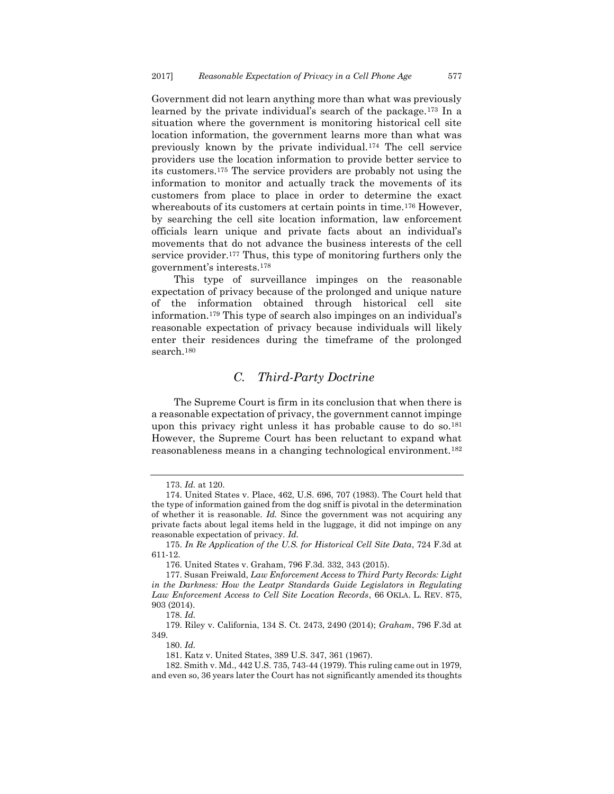Government did not learn anything more than what was previously learned by the private individual's search of the package.<sup>173</sup> In a situation where the government is monitoring historical cell site location information, the government learns more than what was previously known by the private individual.<sup>174</sup> The cell service providers use the location information to provide better service to its customers.<sup>175</sup> The service providers are probably not using the information to monitor and actually track the movements of its customers from place to place in order to determine the exact whereabouts of its customers at certain points in time.<sup>176</sup> However, by searching the cell site location information, law enforcement officials learn unique and private facts about an individual's movements that do not advance the business interests of the cell service provider.<sup>177</sup> Thus, this type of monitoring furthers only the government's interests.<sup>178</sup>

This type of surveillance impinges on the reasonable expectation of privacy because of the prolonged and unique nature of the information obtained through historical cell site information.<sup>179</sup> This type of search also impinges on an individual's reasonable expectation of privacy because individuals will likely enter their residences during the timeframe of the prolonged search.<sup>180</sup>

## *C. Third-Party Doctrine*

<span id="page-23-0"></span>The Supreme Court is firm in its conclusion that when there is a reasonable expectation of privacy, the government cannot impinge upon this privacy right unless it has probable cause to do so.<sup>181</sup> However, the Supreme Court has been reluctant to expand what reasonableness means in a changing technological environment.<sup>182</sup>

<sup>173.</sup> *Id.* at 120.

<sup>174.</sup> United States v. Place, 462, U.S. 696, 707 (1983). The Court held that the type of information gained from the dog sniff is pivotal in the determination of whether it is reasonable. *Id.* Since the government was not acquiring any private facts about legal items held in the luggage, it did not impinge on any reasonable expectation of privacy. *Id.*

<sup>175.</sup> *In Re Application of the U.S. for Historical Cell Site Data*, 724 F.3d at 611-12.

<sup>176.</sup> United States v. Graham, 796 F.3d. 332, 343 (2015).

<sup>177.</sup> Susan Freiwald, *Law Enforcement Access to Third Party Records: Light in the Darkness: How the Leatpr Standards Guide Legislators in Regulating Law Enforcement Access to Cell Site Location Records*, 66 OKLA. L. REV. 875, 903 (2014).

<sup>178.</sup> *Id.*

<sup>179.</sup> Riley v. California, 134 S. Ct. 2473, 2490 (2014); *Graham*, 796 F.3d at 349.

<sup>180.</sup> *Id.*

<sup>181.</sup> Katz v. United States, 389 U.S. 347, 361 (1967).

<sup>182.</sup> Smith v. Md., 442 U.S. 735, 743-44 (1979). This ruling came out in 1979, and even so, 36 years later the Court has not significantly amended its thoughts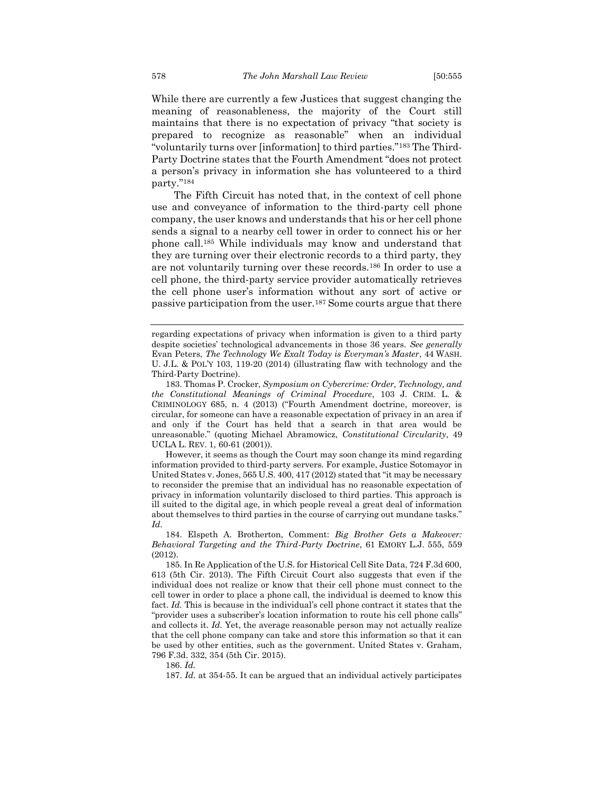While there are currently a few Justices that suggest changing the meaning of reasonableness, the majority of the Court still maintains that there is no expectation of privacy "that society is prepared to recognize as reasonable" when an individual "voluntarily turns over [information] to third parties."<sup>183</sup> The Third-Party Doctrine states that the Fourth Amendment "does not protect a person's privacy in information she has volunteered to a third party."<sup>184</sup>

The Fifth Circuit has noted that, in the context of cell phone use and conveyance of information to the third-party cell phone company, the user knows and understands that his or her cell phone sends a signal to a nearby cell tower in order to connect his or her phone call.<sup>185</sup> While individuals may know and understand that they are turning over their electronic records to a third party, they are not voluntarily turning over these records.<sup>186</sup> In order to use a cell phone, the third-party service provider automatically retrieves the cell phone user's information without any sort of active or passive participation from the user.<sup>187</sup> Some courts argue that there

However, it seems as though the Court may soon change its mind regarding information provided to third-party servers. For example, Justice Sotomayor in United States v. Jones, 565 U.S. 400, 417 (2012) stated that "it may be necessary to reconsider the premise that an individual has no reasonable expectation of privacy in information voluntarily disclosed to third parties. This approach is ill suited to the digital age, in which people reveal a great deal of information about themselves to third parties in the course of carrying out mundane tasks." *Id.*

186. *Id.*

187. *Id.* at 354-55. It can be argued that an individual actively participates

regarding expectations of privacy when information is given to a third party despite societies' technological advancements in those 36 years. *See generally*  Evan Peters, *The Technology We Exalt Today is Everyman's Master*, 44 WASH. U. J.L. & POL'Y 103, 119-20 (2014) (illustrating flaw with technology and the Third-Party Doctrine).

<sup>183.</sup> Thomas P. Crocker, *Symposium on Cybercrime: Order, Technology, and the Constitutional Meanings of Criminal Procedure*, 103 J. CRIM. L. & CRIMINOLOGY 685, n. 4 (2013) ("Fourth Amendment doctrine, moreover, is circular, for someone can have a reasonable expectation of privacy in an area if and only if the Court has held that a search in that area would be unreasonable." (quoting Michael Abramowicz, *Constitutional Circularity*, 49 UCLA L. REV. 1, 60-61 (2001)).

<sup>184.</sup> Elspeth A. Brotherton, Comment: *Big Brother Gets a Makeover: Behavioral Targeting and the Third-Party Doctrine*, 61 EMORY L.J. 555, 559  $(2012)$ 

<sup>185.</sup> In Re Application of the U.S. for Historical Cell Site Data, 724 F.3d 600, 613 (5th Cir. 2013). The Fifth Circuit Court also suggests that even if the individual does not realize or know that their cell phone must connect to the cell tower in order to place a phone call, the individual is deemed to know this fact. *Id.* This is because in the individual's cell phone contract it states that the "provider uses a subscriber's location information to route his cell phone calls" and collects it. *Id.* Yet, the average reasonable person may not actually realize that the cell phone company can take and store this information so that it can be used by other entities, such as the government. United States v. Graham, 796 F.3d. 332, 354 (5th Cir. 2015).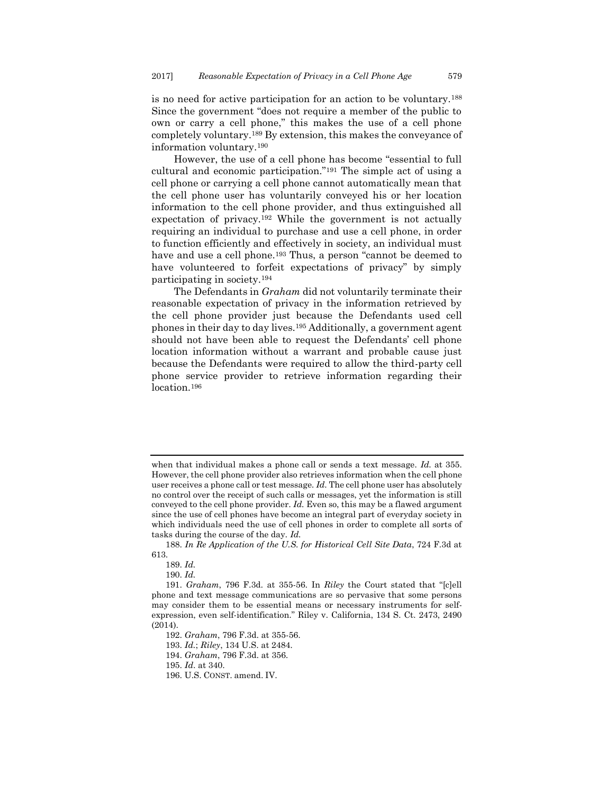is no need for active participation for an action to be voluntary.<sup>188</sup> Since the government "does not require a member of the public to own or carry a cell phone," this makes the use of a cell phone completely voluntary.<sup>189</sup> By extension, this makes the conveyance of information voluntary.<sup>190</sup>

However, the use of a cell phone has become "essential to full cultural and economic participation."<sup>191</sup> The simple act of using a cell phone or carrying a cell phone cannot automatically mean that the cell phone user has voluntarily conveyed his or her location information to the cell phone provider, and thus extinguished all expectation of privacy.<sup>192</sup> While the government is not actually requiring an individual to purchase and use a cell phone, in order to function efficiently and effectively in society, an individual must have and use a cell phone.<sup>193</sup> Thus, a person "cannot be deemed to have volunteered to forfeit expectations of privacy" by simply participating in society.<sup>194</sup>

The Defendants in *Graham* did not voluntarily terminate their reasonable expectation of privacy in the information retrieved by the cell phone provider just because the Defendants used cell phones in their day to day lives.<sup>195</sup> Additionally, a government agent should not have been able to request the Defendants' cell phone location information without a warrant and probable cause just because the Defendants were required to allow the third-party cell phone service provider to retrieve information regarding their location.<sup>196</sup>

192. *Graham*, 796 F.3d. at 355-56.

when that individual makes a phone call or sends a text message. *Id.* at 355. However, the cell phone provider also retrieves information when the cell phone user receives a phone call or test message. *Id.* The cell phone user has absolutely no control over the receipt of such calls or messages, yet the information is still conveyed to the cell phone provider. *Id.* Even so, this may be a flawed argument since the use of cell phones have become an integral part of everyday society in which individuals need the use of cell phones in order to complete all sorts of tasks during the course of the day. *Id.*

<sup>188.</sup> *In Re Application of the U.S. for Historical Cell Site Data*, 724 F.3d at 613.

<sup>189.</sup> *Id.*

<sup>190.</sup> *Id.*

<sup>191.</sup> *Graham*, 796 F.3d. at 355-56. In *Riley* the Court stated that "[c]ell phone and text message communications are so pervasive that some persons may consider them to be essential means or necessary instruments for selfexpression, even self-identification." Riley v. California, 134 S. Ct. 2473, 2490 (2014).

<sup>193.</sup> *Id.*; *Riley*, 134 U.S. at 2484.

<sup>194.</sup> *Graham*, 796 F.3d. at 356.

<sup>195.</sup> *Id*. at 340.

<sup>196.</sup> U.S. CONST. amend. IV.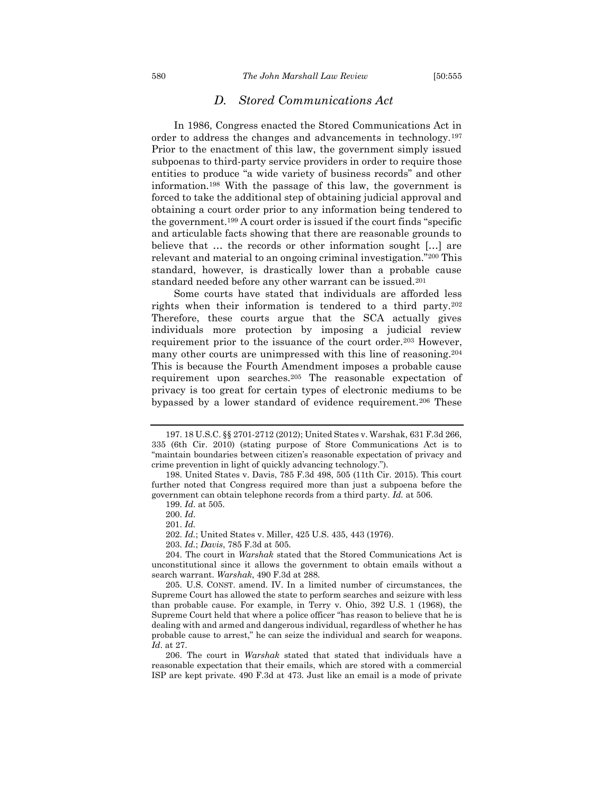## *D. Stored Communications Act*

<span id="page-26-0"></span>In 1986, Congress enacted the Stored Communications Act in order to address the changes and advancements in technology.<sup>197</sup> Prior to the enactment of this law, the government simply issued subpoenas to third-party service providers in order to require those entities to produce "a wide variety of business records" and other information.<sup>198</sup> With the passage of this law, the government is forced to take the additional step of obtaining judicial approval and obtaining a court order prior to any information being tendered to the government.<sup>199</sup> A court order is issued if the court finds "specific and articulable facts showing that there are reasonable grounds to believe that … the records or other information sought […] are relevant and material to an ongoing criminal investigation."<sup>200</sup> This standard, however, is drastically lower than a probable cause standard needed before any other warrant can be issued.<sup>201</sup>

Some courts have stated that individuals are afforded less rights when their information is tendered to a third party.<sup>202</sup> Therefore, these courts argue that the SCA actually gives individuals more protection by imposing a judicial review requirement prior to the issuance of the court order.<sup>203</sup> However, many other courts are unimpressed with this line of reasoning.<sup>204</sup> This is because the Fourth Amendment imposes a probable cause requirement upon searches.<sup>205</sup> The reasonable expectation of privacy is too great for certain types of electronic mediums to be bypassed by a lower standard of evidence requirement.<sup>206</sup> These

<sup>197.</sup> 18 U.S.C. §§ 2701-2712 (2012); United States v. Warshak, 631 F.3d 266, 335 (6th Cir. 2010) (stating purpose of Store Communications Act is to "maintain boundaries between citizen's reasonable expectation of privacy and crime prevention in light of quickly advancing technology.").

<sup>198.</sup> United States v. Davis, 785 F.3d 498, 505 (11th Cir. 2015). This court further noted that Congress required more than just a subpoena before the government can obtain telephone records from a third party. *Id.* at 506.

<sup>199.</sup> *Id*. at 505.

<sup>200.</sup> *Id*.

<sup>201.</sup> *Id.* 

<sup>202.</sup> *Id.*; United States v. Miller, 425 U.S. 435, 443 (1976).

<sup>203.</sup> *Id.*; *Davis*, 785 F.3d at 505.

<sup>204.</sup> The court in *Warshak* stated that the Stored Communications Act is unconstitutional since it allows the government to obtain emails without a search warrant. *Warshak*, 490 F.3d at 288.

<sup>205.</sup> U.S. CONST. amend. IV. In a limited number of circumstances, the Supreme Court has allowed the state to perform searches and seizure with less than probable cause. For example, in Terry v. Ohio, 392 U.S. 1 (1968), the Supreme Court held that where a police officer "has reason to believe that he is dealing with and armed and dangerous individual, regardless of whether he has probable cause to arrest," he can seize the individual and search for weapons. *Id*. at 27.

<sup>206.</sup> The court in *Warshak* stated that stated that individuals have a reasonable expectation that their emails, which are stored with a commercial ISP are kept private. 490 F.3d at 473. Just like an email is a mode of private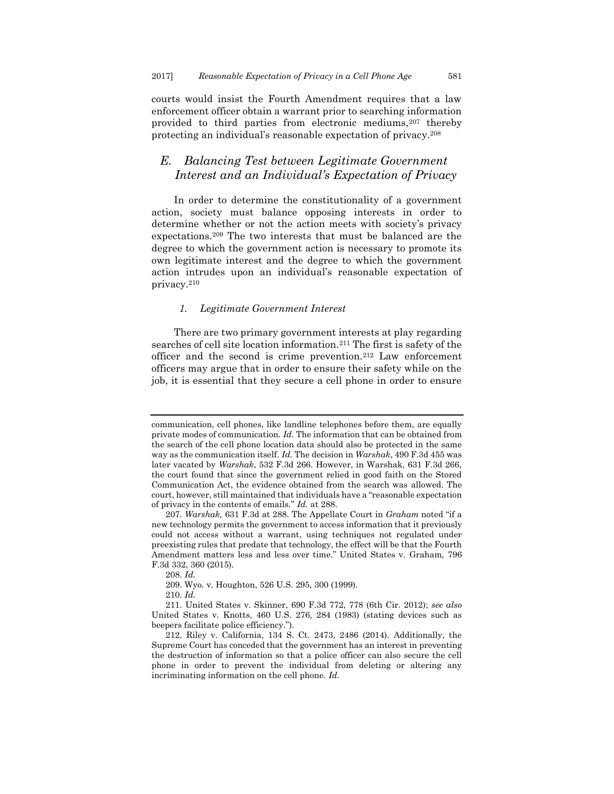courts would insist the Fourth Amendment requires that a law enforcement officer obtain a warrant prior to searching information provided to third parties from electronic mediums,<sup>207</sup> thereby protecting an individual's reasonable expectation of privacy.<sup>208</sup>

## <span id="page-27-0"></span>*E. Balancing Test between Legitimate Government Interest and an Individual's Expectation of Privacy*

In order to determine the constitutionality of a government action, society must balance opposing interests in order to determine whether or not the action meets with society's privacy expectations.<sup>209</sup> The two interests that must be balanced are the degree to which the government action is necessary to promote its own legitimate interest and the degree to which the government action intrudes upon an individual's reasonable expectation of privacy.<sup>210</sup>

#### <span id="page-27-1"></span>*1. Legitimate Government Interest*

There are two primary government interests at play regarding searches of cell site location information.<sup>211</sup> The first is safety of the officer and the second is crime prevention.<sup>212</sup> Law enforcement officers may argue that in order to ensure their safety while on the job, it is essential that they secure a cell phone in order to ensure

208. *Id.*

communication, cell phones, like landline telephones before them, are equally private modes of communication. *Id.* The information that can be obtained from the search of the cell phone location data should also be protected in the same way as the communication itself. *Id.* The decision in *Warshak*, 490 F.3d 455 was later vacated by *Warshak*, 532 F.3d 266. However, in Warshak, 631 F.3d 266, the court found that since the government relied in good faith on the Stored Communication Act, the evidence obtained from the search was allowed. The court, however, still maintained that individuals have a "reasonable expectation of privacy in the contents of emails." *Id.* at 288.

<sup>207.</sup> *Warshak,* 631 F.3d at 288. The Appellate Court in *Graham* noted "if a new technology permits the government to access information that it previously could not access without a warrant, using techniques not regulated under preexisting rules that predate that technology, the effect will be that the Fourth Amendment matters less and less over time." United States v. Graham*,* 796 F.3d 332, 360 (2015).

<sup>209.</sup> Wyo. v. Houghton, 526 U.S. 295, 300 (1999).

<sup>210.</sup> *Id.*

<sup>211.</sup> United States v. Skinner, 690 F.3d 772, 778 (6th Cir. 2012); *see also* United States v. Knotts, 460 U.S. 276, 284 (1983) (stating devices such as beepers facilitate police efficiency.").

<sup>212.</sup> Riley v. California, 134 S. Ct. 2473, 2486 (2014). Additionally, the Supreme Court has conceded that the government has an interest in preventing the destruction of information so that a police officer can also secure the cell phone in order to prevent the individual from deleting or altering any incriminating information on the cell phone. *Id.*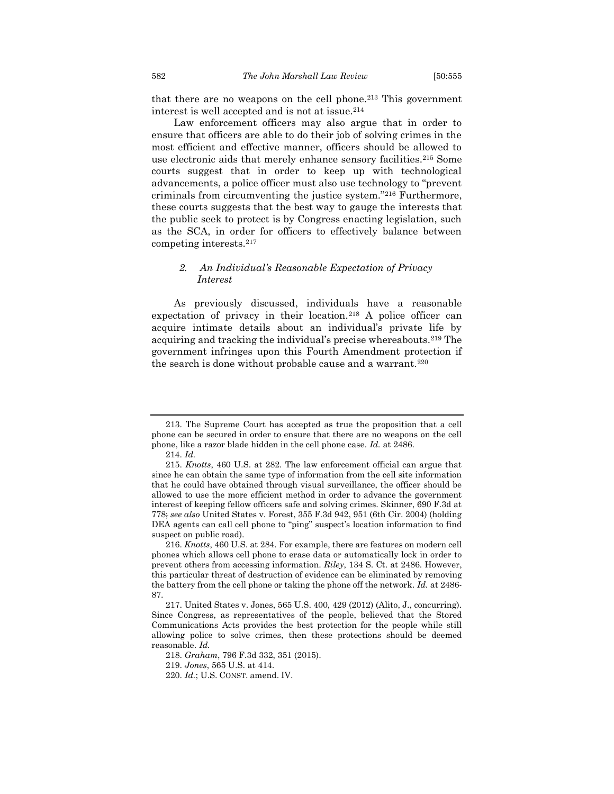that there are no weapons on the cell phone.<sup>213</sup> This government interest is well accepted and is not at issue.<sup>214</sup>

Law enforcement officers may also argue that in order to ensure that officers are able to do their job of solving crimes in the most efficient and effective manner, officers should be allowed to use electronic aids that merely enhance sensory facilities.<sup>215</sup> Some courts suggest that in order to keep up with technological advancements, a police officer must also use technology to "prevent criminals from circumventing the justice system."<sup>216</sup> Furthermore, these courts suggests that the best way to gauge the interests that the public seek to protect is by Congress enacting legislation, such as the SCA, in order for officers to effectively balance between competing interests.<sup>217</sup>

#### <span id="page-28-0"></span>*2. An Individual's Reasonable Expectation of Privacy Interest*

As previously discussed, individuals have a reasonable expectation of privacy in their location.<sup>218</sup> A police officer can acquire intimate details about an individual's private life by acquiring and tracking the individual's precise whereabouts.<sup>219</sup> The government infringes upon this Fourth Amendment protection if the search is done without probable cause and a warrant.<sup>220</sup>

<sup>213.</sup> The Supreme Court has accepted as true the proposition that a cell phone can be secured in order to ensure that there are no weapons on the cell phone, like a razor blade hidden in the cell phone case. *Id.* at 2486.

<sup>214.</sup> *Id.*

<sup>215.</sup> *Knotts*, 460 U.S. at 282. The law enforcement official can argue that since he can obtain the same type of information from the cell site information that he could have obtained through visual surveillance, the officer should be allowed to use the more efficient method in order to advance the government interest of keeping fellow officers safe and solving crimes. Skinner, 690 F.3d at 778; *see also* United States v. Forest, 355 F.3d 942, 951 (6th Cir. 2004) (holding DEA agents can call cell phone to "ping" suspect's location information to find suspect on public road).

<sup>216.</sup> *Knotts*, 460 U.S. at 284. For example, there are features on modern cell phones which allows cell phone to erase data or automatically lock in order to prevent others from accessing information. *Riley*, 134 S. Ct. at 2486. However, this particular threat of destruction of evidence can be eliminated by removing the battery from the cell phone or taking the phone off the network. *Id.* at 2486- 87.

<sup>217.</sup> United States v. Jones, 565 U.S. 400, 429 (2012) (Alito, J., concurring). Since Congress, as representatives of the people, believed that the Stored Communications Acts provides the best protection for the people while still allowing police to solve crimes, then these protections should be deemed reasonable. *Id.*

<sup>218.</sup> *Graham*, 796 F.3d 332, 351 (2015).

<sup>219.</sup> *Jones*, 565 U.S. at 414.

<sup>220.</sup> *Id.*; U.S. CONST. amend. IV.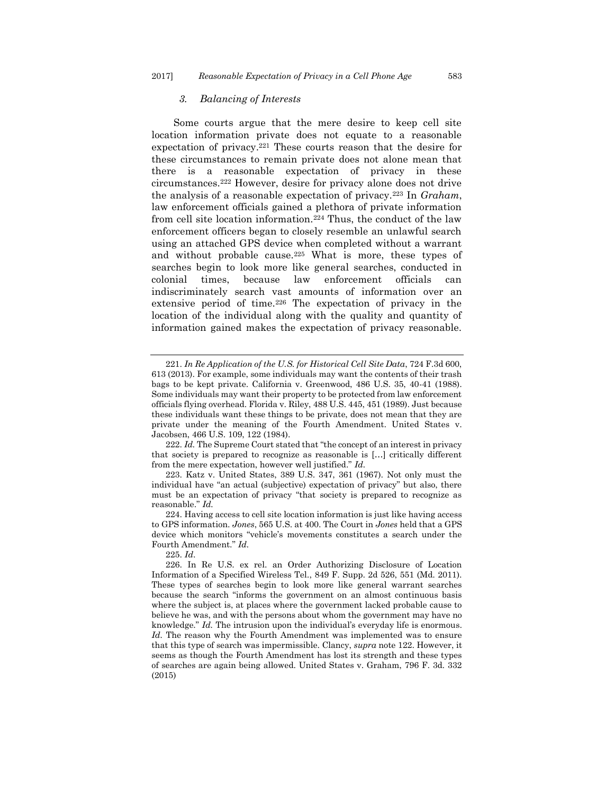#### <span id="page-29-0"></span>*3. Balancing of Interests*

Some courts argue that the mere desire to keep cell site location information private does not equate to a reasonable expectation of privacy. <sup>221</sup> These courts reason that the desire for these circumstances to remain private does not alone mean that there is a reasonable expectation of privacy in these circumstances.<sup>222</sup> However, desire for privacy alone does not drive the analysis of a reasonable expectation of privacy.<sup>223</sup> In *Graham*, law enforcement officials gained a plethora of private information from cell site location information.<sup>224</sup> Thus, the conduct of the law enforcement officers began to closely resemble an unlawful search using an attached GPS device when completed without a warrant and without probable cause.<sup>225</sup> What is more, these types of searches begin to look more like general searches, conducted in colonial times, because law enforcement officials can indiscriminately search vast amounts of information over an extensive period of time.<sup>226</sup> The expectation of privacy in the location of the individual along with the quality and quantity of information gained makes the expectation of privacy reasonable.

222. *Id.* The Supreme Court stated that "the concept of an interest in privacy that society is prepared to recognize as reasonable is […] critically different from the mere expectation, however well justified." *Id.*

<sup>221.</sup> *In Re Application of the U.S. for Historical Cell Site Data*, 724 F.3d 600, 613 (2013). For example, some individuals may want the contents of their trash bags to be kept private. California v. Greenwood, 486 U.S. 35, 40-41 (1988). Some individuals may want their property to be protected from law enforcement officials flying overhead. Florida v. Riley, 488 U.S. 445, 451 (1989). Just because these individuals want these things to be private, does not mean that they are private under the meaning of the Fourth Amendment. United States v. Jacobsen, 466 U.S. 109, 122 (1984).

<sup>223.</sup> Katz v. United States, 389 U.S. 347, 361 (1967). Not only must the individual have "an actual (subjective) expectation of privacy" but also, there must be an expectation of privacy "that society is prepared to recognize as reasonable." *Id.*

<sup>224.</sup> Having access to cell site location information is just like having access to GPS information. *Jones*, 565 U.S. at 400. The Court in *Jones* held that a GPS device which monitors "vehicle's movements constitutes a search under the Fourth Amendment." *Id.*

<sup>225.</sup> *Id*.

<sup>226.</sup> In Re U.S. ex rel. an Order Authorizing Disclosure of Location Information of a Specified Wireless Tel*.*, 849 F. Supp. 2d 526, 551 (Md. 2011). These types of searches begin to look more like general warrant searches because the search "informs the government on an almost continuous basis where the subject is, at places where the government lacked probable cause to believe he was, and with the persons about whom the government may have no knowledge." *Id.* The intrusion upon the individual's everyday life is enormous. *Id.* The reason why the Fourth Amendment was implemented was to ensure that this type of search was impermissible. Clancy, *supra* note 122. However, it seems as though the Fourth Amendment has lost its strength and these types of searches are again being allowed. United States v. Graham, 796 F. 3d. 332 (2015)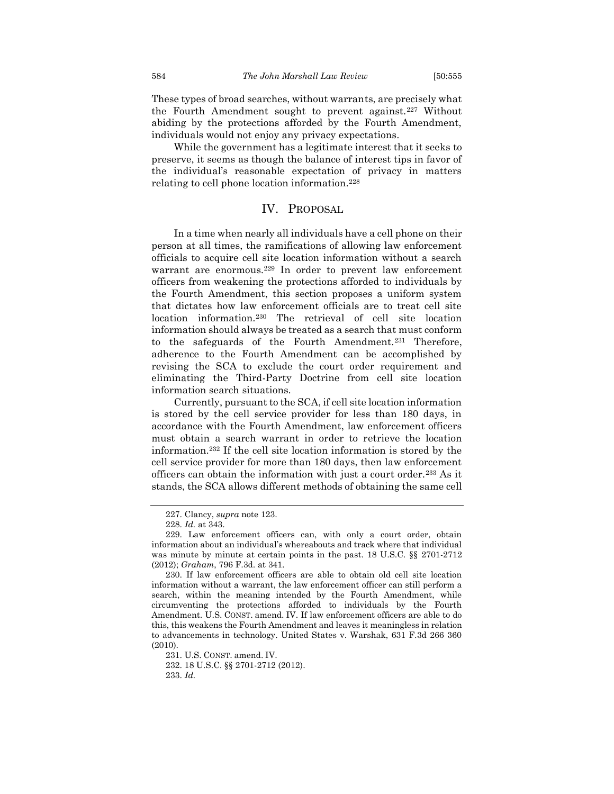These types of broad searches, without warrants, are precisely what the Fourth Amendment sought to prevent against.<sup>227</sup> Without abiding by the protections afforded by the Fourth Amendment, individuals would not enjoy any privacy expectations.

While the government has a legitimate interest that it seeks to preserve, it seems as though the balance of interest tips in favor of the individual's reasonable expectation of privacy in matters relating to cell phone location information.<sup>228</sup>

## IV. PROPOSAL

<span id="page-30-0"></span>In a time when nearly all individuals have a cell phone on their person at all times, the ramifications of allowing law enforcement officials to acquire cell site location information without a search warrant are enormous.<sup>229</sup> In order to prevent law enforcement officers from weakening the protections afforded to individuals by the Fourth Amendment, this section proposes a uniform system that dictates how law enforcement officials are to treat cell site location information.<sup>230</sup> The retrieval of cell site location information should always be treated as a search that must conform to the safeguards of the Fourth Amendment.<sup>231</sup> Therefore, adherence to the Fourth Amendment can be accomplished by revising the SCA to exclude the court order requirement and eliminating the Third-Party Doctrine from cell site location information search situations.

Currently, pursuant to the SCA, if cell site location information is stored by the cell service provider for less than 180 days, in accordance with the Fourth Amendment, law enforcement officers must obtain a search warrant in order to retrieve the location information.<sup>232</sup> If the cell site location information is stored by the cell service provider for more than 180 days, then law enforcement officers can obtain the information with just a court order.<sup>233</sup> As it stands, the SCA allows different methods of obtaining the same cell

<sup>227.</sup> Clancy, *supra* note 123.

<sup>228.</sup> *Id.* at 343.

<sup>229.</sup> Law enforcement officers can, with only a court order, obtain information about an individual's whereabouts and track where that individual was minute by minute at certain points in the past. 18 U.S.C. §§ 2701-2712 (2012); *Graham*, 796 F.3d. at 341.

<sup>230.</sup> If law enforcement officers are able to obtain old cell site location information without a warrant, the law enforcement officer can still perform a search, within the meaning intended by the Fourth Amendment, while circumventing the protections afforded to individuals by the Fourth Amendment. U.S. CONST. amend. IV. If law enforcement officers are able to do this, this weakens the Fourth Amendment and leaves it meaningless in relation to advancements in technology. United States v. Warshak, 631 F.3d 266 360 (2010).

<sup>231.</sup> U.S. CONST. amend. IV.

<sup>232.</sup> 18 U.S.C. §§ 2701-2712 (2012). 233. *Id.*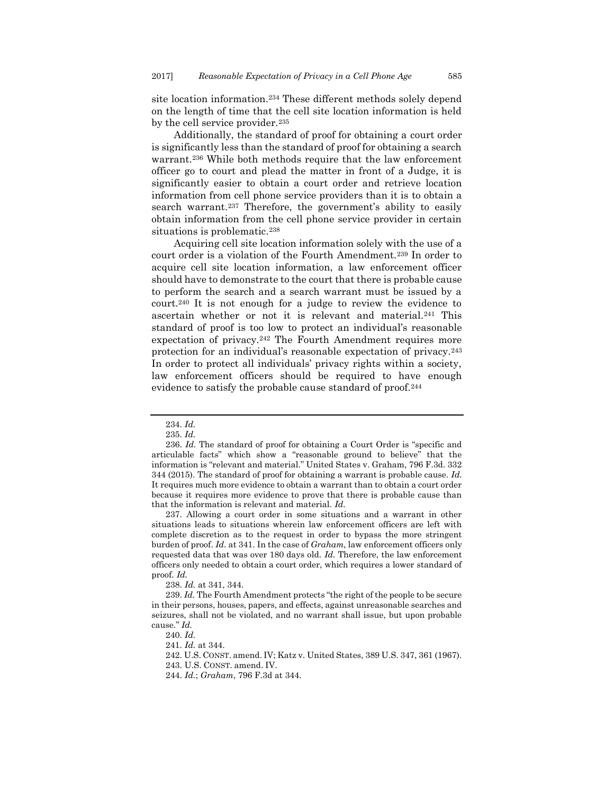site location information.<sup>234</sup> These different methods solely depend on the length of time that the cell site location information is held by the cell service provider.<sup>235</sup>

Additionally, the standard of proof for obtaining a court order is significantly less than the standard of proof for obtaining a search warrant.<sup>236</sup> While both methods require that the law enforcement officer go to court and plead the matter in front of a Judge, it is significantly easier to obtain a court order and retrieve location information from cell phone service providers than it is to obtain a search warrant.<sup>237</sup> Therefore, the government's ability to easily obtain information from the cell phone service provider in certain situations is problematic.<sup>238</sup>

Acquiring cell site location information solely with the use of a court order is a violation of the Fourth Amendment.<sup>239</sup> In order to acquire cell site location information, a law enforcement officer should have to demonstrate to the court that there is probable cause to perform the search and a search warrant must be issued by a court.<sup>240</sup> It is not enough for a judge to review the evidence to ascertain whether or not it is relevant and material.<sup>241</sup> This standard of proof is too low to protect an individual's reasonable expectation of privacy.<sup>242</sup> The Fourth Amendment requires more protection for an individual's reasonable expectation of privacy.<sup>243</sup> In order to protect all individuals' privacy rights within a society, law enforcement officers should be required to have enough evidence to satisfy the probable cause standard of proof.<sup>244</sup>

237. Allowing a court order in some situations and a warrant in other situations leads to situations wherein law enforcement officers are left with complete discretion as to the request in order to bypass the more stringent burden of proof. *Id.* at 341. In the case of *Graham*, law enforcement officers only requested data that was over 180 days old. *Id.* Therefore, the law enforcement officers only needed to obtain a court order, which requires a lower standard of proof. *Id.*

238. *Id.* at 341, 344.

239. *Id.* The Fourth Amendment protects "the right of the people to be secure in their persons, houses, papers, and effects, against unreasonable searches and seizures, shall not be violated, and no warrant shall issue, but upon probable cause." *Id.*

241. *Id.* at 344.

242. U.S. CONST. amend. IV; Katz v. United States, 389 U.S. 347, 361 (1967).

243. U.S. CONST. amend. IV.

244. *Id.*; *Graham*, 796 F.3d at 344.

<sup>234.</sup> *Id.*

<sup>235.</sup> *Id.*

<sup>236.</sup> *Id.* The standard of proof for obtaining a Court Order is "specific and articulable facts" which show a "reasonable ground to believe" that the information is "relevant and material." United States v. Graham, 796 F.3d. 332 344 (2015). The standard of proof for obtaining a warrant is probable cause. *Id.* It requires much more evidence to obtain a warrant than to obtain a court order because it requires more evidence to prove that there is probable cause than that the information is relevant and material. *Id.*

<sup>240.</sup> *Id.*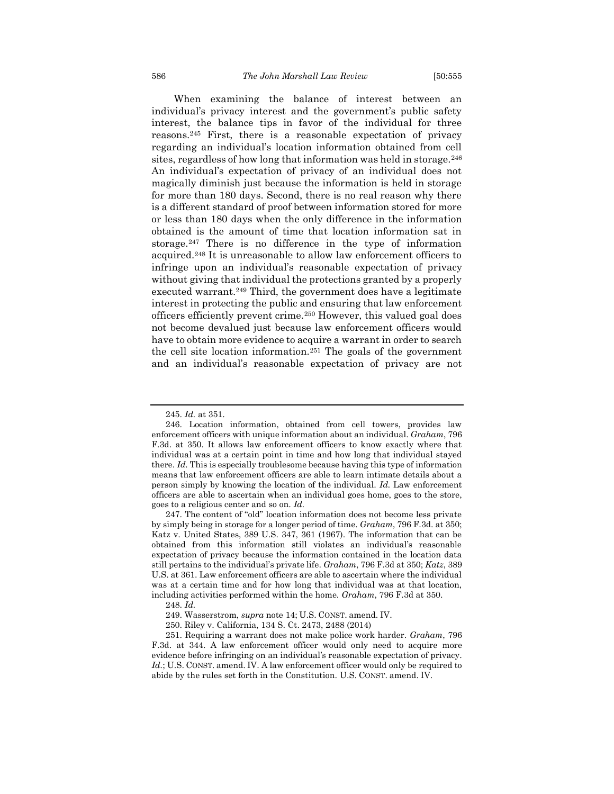When examining the balance of interest between an individual's privacy interest and the government's public safety interest, the balance tips in favor of the individual for three reasons.<sup>245</sup> First, there is a reasonable expectation of privacy regarding an individual's location information obtained from cell sites, regardless of how long that information was held in storage.<sup>246</sup> An individual's expectation of privacy of an individual does not magically diminish just because the information is held in storage for more than 180 days. Second, there is no real reason why there is a different standard of proof between information stored for more or less than 180 days when the only difference in the information obtained is the amount of time that location information sat in storage.<sup>247</sup> There is no difference in the type of information acquired.<sup>248</sup> It is unreasonable to allow law enforcement officers to infringe upon an individual's reasonable expectation of privacy without giving that individual the protections granted by a properly executed warrant.<sup>249</sup> Third, the government does have a legitimate interest in protecting the public and ensuring that law enforcement officers efficiently prevent crime.<sup>250</sup> However, this valued goal does not become devalued just because law enforcement officers would have to obtain more evidence to acquire a warrant in order to search the cell site location information.<sup>251</sup> The goals of the government and an individual's reasonable expectation of privacy are not

<sup>245.</sup> *Id.* at 351.

<sup>246.</sup> Location information, obtained from cell towers, provides law enforcement officers with unique information about an individual. *Graham*, 796 F.3d. at 350. It allows law enforcement officers to know exactly where that individual was at a certain point in time and how long that individual stayed there. *Id.* This is especially troublesome because having this type of information means that law enforcement officers are able to learn intimate details about a person simply by knowing the location of the individual. *Id.* Law enforcement officers are able to ascertain when an individual goes home, goes to the store, goes to a religious center and so on. *Id.*

<sup>247.</sup> The content of "old" location information does not become less private by simply being in storage for a longer period of time. *Graham*, 796 F.3d. at 350; Katz v. United States, 389 U.S. 347, 361 (1967). The information that can be obtained from this information still violates an individual's reasonable expectation of privacy because the information contained in the location data still pertains to the individual's private life. *Graham*, 796 F.3d at 350; *Katz*, 389 U.S. at 361. Law enforcement officers are able to ascertain where the individual was at a certain time and for how long that individual was at that location, including activities performed within the home. *Graham*, 796 F.3d at 350.

<sup>248.</sup> *Id.*

<sup>249.</sup> Wasserstrom, *supra* note 14; U.S. CONST. amend. IV.

<sup>250.</sup> Riley v. California, 134 S. Ct. 2473, 2488 (2014)

<sup>251.</sup> Requiring a warrant does not make police work harder. *Graham*, 796 F.3d. at 344. A law enforcement officer would only need to acquire more evidence before infringing on an individual's reasonable expectation of privacy. Id.; U.S. CONST. amend. IV. A law enforcement officer would only be required to abide by the rules set forth in the Constitution. U.S. CONST. amend. IV.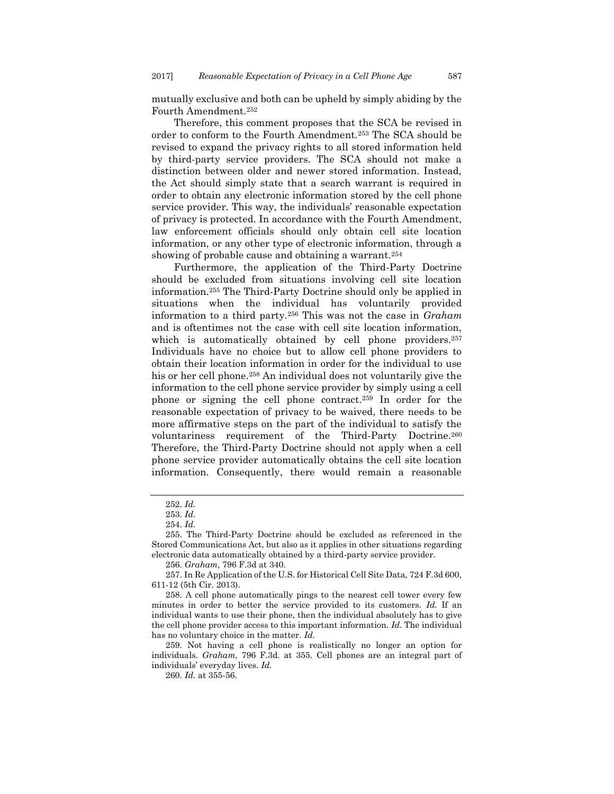mutually exclusive and both can be upheld by simply abiding by the Fourth Amendment.<sup>252</sup>

Therefore, this comment proposes that the SCA be revised in order to conform to the Fourth Amendment.<sup>253</sup> The SCA should be revised to expand the privacy rights to all stored information held by third-party service providers. The SCA should not make a distinction between older and newer stored information. Instead, the Act should simply state that a search warrant is required in order to obtain any electronic information stored by the cell phone service provider. This way, the individuals' reasonable expectation of privacy is protected. In accordance with the Fourth Amendment, law enforcement officials should only obtain cell site location information, or any other type of electronic information, through a showing of probable cause and obtaining a warrant.<sup>254</sup>

Furthermore, the application of the Third-Party Doctrine should be excluded from situations involving cell site location information.<sup>255</sup> The Third-Party Doctrine should only be applied in situations when the individual has voluntarily provided information to a third party.<sup>256</sup> This was not the case in *Graham* and is oftentimes not the case with cell site location information, which is automatically obtained by cell phone providers.<sup>257</sup> Individuals have no choice but to allow cell phone providers to obtain their location information in order for the individual to use his or her cell phone.<sup>258</sup> An individual does not voluntarily give the information to the cell phone service provider by simply using a cell phone or signing the cell phone contract.<sup>259</sup> In order for the reasonable expectation of privacy to be waived, there needs to be more affirmative steps on the part of the individual to satisfy the voluntariness requirement of the Third-Party Doctrine.<sup>260</sup> Therefore, the Third-Party Doctrine should not apply when a cell phone service provider automatically obtains the cell site location information. Consequently, there would remain a reasonable

<sup>252.</sup> *Id.*

<sup>253.</sup> *Id.*

<sup>254.</sup> *Id.*

<sup>255.</sup> The Third-Party Doctrine should be excluded as referenced in the Stored Communications Act, but also as it applies in other situations regarding electronic data automatically obtained by a third-party service provider.

<sup>256.</sup> *Graham*, 796 F.3d at 340.

<sup>257.</sup> In Re Application of the U.S. for Historical Cell Site Data, 724 F.3d 600, 611-12 (5th Cir. 2013).

<sup>258.</sup> A cell phone automatically pings to the nearest cell tower every few minutes in order to better the service provided to its customers. *Id.* If an individual wants to use their phone, then the individual absolutely has to give the cell phone provider access to this important information. *Id.* The individual has no voluntary choice in the matter. *Id.* 

<sup>259.</sup> Not having a cell phone is realistically no longer an option for individuals. *Graham*, 796 F.3d. at 355. Cell phones are an integral part of individuals' everyday lives. *Id.*

<sup>260.</sup> *Id.* at 355-56.